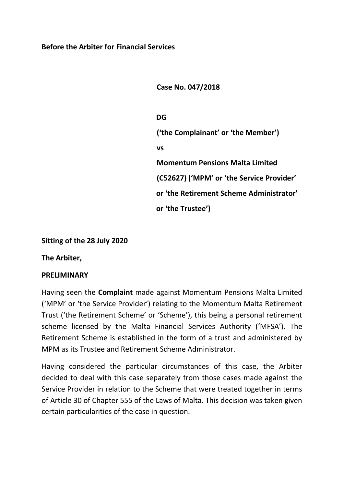**Case No. 047/2018**

**DG ('the Complainant' or 'the Member') vs Momentum Pensions Malta Limited (C52627) ('MPM' or 'the Service Provider' or 'the Retirement Scheme Administrator' or 'the Trustee')**

#### **Sitting of the 28 July 2020**

**The Arbiter,**

#### **PRELIMINARY**

Having seen the **Complaint** made against Momentum Pensions Malta Limited ('MPM' or 'the Service Provider') relating to the Momentum Malta Retirement Trust ('the Retirement Scheme' or 'Scheme'), this being a personal retirement scheme licensed by the Malta Financial Services Authority ('MFSA'). The Retirement Scheme is established in the form of a trust and administered by MPM as its Trustee and Retirement Scheme Administrator.

Having considered the particular circumstances of this case, the Arbiter decided to deal with this case separately from those cases made against the Service Provider in relation to the Scheme that were treated together in terms of Article 30 of Chapter 555 of the Laws of Malta. This decision was taken given certain particularities of the case in question.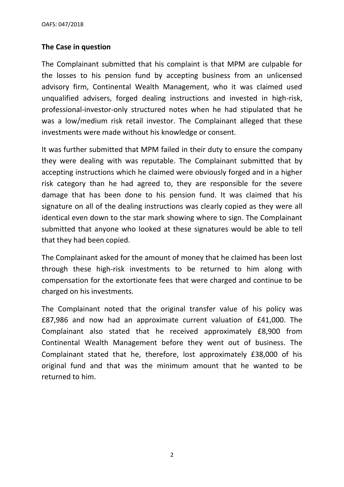### **The Case in question**

The Complainant submitted that his complaint is that MPM are culpable for the losses to his pension fund by accepting business from an unlicensed advisory firm, Continental Wealth Management, who it was claimed used unqualified advisers, forged dealing instructions and invested in high-risk, professional-investor-only structured notes when he had stipulated that he was a low/medium risk retail investor. The Complainant alleged that these investments were made without his knowledge or consent.

It was further submitted that MPM failed in their duty to ensure the company they were dealing with was reputable. The Complainant submitted that by accepting instructions which he claimed were obviously forged and in a higher risk category than he had agreed to, they are responsible for the severe damage that has been done to his pension fund. It was claimed that his signature on all of the dealing instructions was clearly copied as they were all identical even down to the star mark showing where to sign. The Complainant submitted that anyone who looked at these signatures would be able to tell that they had been copied.

The Complainant asked for the amount of money that he claimed has been lost through these high-risk investments to be returned to him along with compensation for the extortionate fees that were charged and continue to be charged on his investments.

The Complainant noted that the original transfer value of his policy was £87,986 and now had an approximate current valuation of £41,000. The Complainant also stated that he received approximately £8,900 from Continental Wealth Management before they went out of business. The Complainant stated that he, therefore, lost approximately £38,000 of his original fund and that was the minimum amount that he wanted to be returned to him.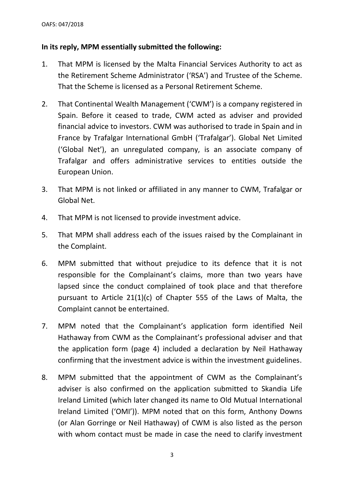## **In its reply, MPM essentially submitted the following:**

- 1. That MPM is licensed by the Malta Financial Services Authority to act as the Retirement Scheme Administrator ('RSA') and Trustee of the Scheme. That the Scheme is licensed as a Personal Retirement Scheme.
- 2. That Continental Wealth Management ('CWM') is a company registered in Spain. Before it ceased to trade, CWM acted as adviser and provided financial advice to investors. CWM was authorised to trade in Spain and in France by Trafalgar International GmbH ('Trafalgar'). Global Net Limited ('Global Net'), an unregulated company, is an associate company of Trafalgar and offers administrative services to entities outside the European Union.
- 3. That MPM is not linked or affiliated in any manner to CWM, Trafalgar or Global Net.
- 4. That MPM is not licensed to provide investment advice.
- 5. That MPM shall address each of the issues raised by the Complainant in the Complaint.
- 6. MPM submitted that without prejudice to its defence that it is not responsible for the Complainant's claims, more than two years have lapsed since the conduct complained of took place and that therefore pursuant to Article 21(1)(c) of Chapter 555 of the Laws of Malta, the Complaint cannot be entertained.
- 7. MPM noted that the Complainant's application form identified Neil Hathaway from CWM as the Complainant's professional adviser and that the application form (page 4) included a declaration by Neil Hathaway confirming that the investment advice is within the investment guidelines.
- 8. MPM submitted that the appointment of CWM as the Complainant's adviser is also confirmed on the application submitted to Skandia Life Ireland Limited (which later changed its name to Old Mutual International Ireland Limited ('OMI')). MPM noted that on this form, Anthony Downs (or Alan Gorringe or Neil Hathaway) of CWM is also listed as the person with whom contact must be made in case the need to clarify investment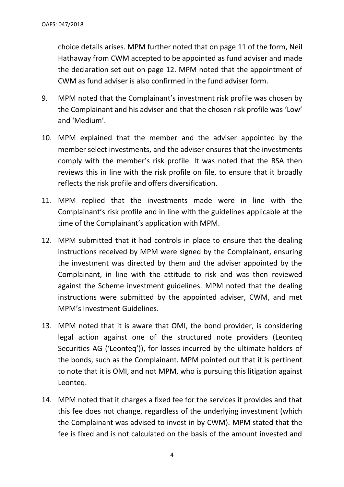choice details arises. MPM further noted that on page 11 of the form, Neil Hathaway from CWM accepted to be appointed as fund adviser and made the declaration set out on page 12. MPM noted that the appointment of CWM as fund adviser is also confirmed in the fund adviser form.

- 9. MPM noted that the Complainant's investment risk profile was chosen by the Complainant and his adviser and that the chosen risk profile was 'Low' and 'Medium'.
- 10. MPM explained that the member and the adviser appointed by the member select investments, and the adviser ensures that the investments comply with the member's risk profile. It was noted that the RSA then reviews this in line with the risk profile on file, to ensure that it broadly reflects the risk profile and offers diversification.
- 11. MPM replied that the investments made were in line with the Complainant's risk profile and in line with the guidelines applicable at the time of the Complainant's application with MPM.
- 12. MPM submitted that it had controls in place to ensure that the dealing instructions received by MPM were signed by the Complainant, ensuring the investment was directed by them and the adviser appointed by the Complainant, in line with the attitude to risk and was then reviewed against the Scheme investment guidelines. MPM noted that the dealing instructions were submitted by the appointed adviser, CWM, and met MPM's Investment Guidelines.
- 13. MPM noted that it is aware that OMI, the bond provider, is considering legal action against one of the structured note providers (Leonteq Securities AG ('Leonteq')), for losses incurred by the ultimate holders of the bonds, such as the Complainant. MPM pointed out that it is pertinent to note that it is OMI, and not MPM, who is pursuing this litigation against Leonteq.
- 14. MPM noted that it charges a fixed fee for the services it provides and that this fee does not change, regardless of the underlying investment (which the Complainant was advised to invest in by CWM). MPM stated that the fee is fixed and is not calculated on the basis of the amount invested and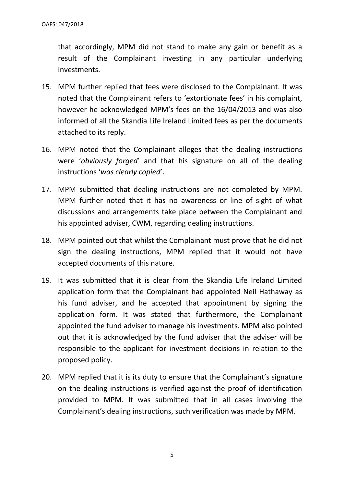that accordingly, MPM did not stand to make any gain or benefit as a result of the Complainant investing in any particular underlying investments.

- 15. MPM further replied that fees were disclosed to the Complainant. It was noted that the Complainant refers to 'extortionate fees' in his complaint, however he acknowledged MPM's fees on the 16/04/2013 and was also informed of all the Skandia Life Ireland Limited fees as per the documents attached to its reply.
- 16. MPM noted that the Complainant alleges that the dealing instructions were '*obviously forged*' and that his signature on all of the dealing instructions '*was clearly copied*'.
- 17. MPM submitted that dealing instructions are not completed by MPM. MPM further noted that it has no awareness or line of sight of what discussions and arrangements take place between the Complainant and his appointed adviser, CWM, regarding dealing instructions.
- 18. MPM pointed out that whilst the Complainant must prove that he did not sign the dealing instructions, MPM replied that it would not have accepted documents of this nature.
- 19. It was submitted that it is clear from the Skandia Life Ireland Limited application form that the Complainant had appointed Neil Hathaway as his fund adviser, and he accepted that appointment by signing the application form. It was stated that furthermore, the Complainant appointed the fund adviser to manage his investments. MPM also pointed out that it is acknowledged by the fund adviser that the adviser will be responsible to the applicant for investment decisions in relation to the proposed policy.
- 20. MPM replied that it is its duty to ensure that the Complainant's signature on the dealing instructions is verified against the proof of identification provided to MPM. It was submitted that in all cases involving the Complainant's dealing instructions, such verification was made by MPM.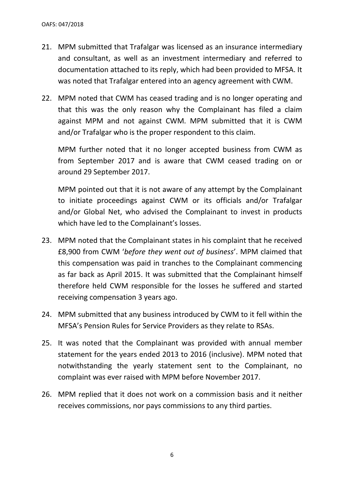- 21. MPM submitted that Trafalgar was licensed as an insurance intermediary and consultant, as well as an investment intermediary and referred to documentation attached to its reply, which had been provided to MFSA. It was noted that Trafalgar entered into an agency agreement with CWM.
- 22. MPM noted that CWM has ceased trading and is no longer operating and that this was the only reason why the Complainant has filed a claim against MPM and not against CWM. MPM submitted that it is CWM and/or Trafalgar who is the proper respondent to this claim.

MPM further noted that it no longer accepted business from CWM as from September 2017 and is aware that CWM ceased trading on or around 29 September 2017.

MPM pointed out that it is not aware of any attempt by the Complainant to initiate proceedings against CWM or its officials and/or Trafalgar and/or Global Net, who advised the Complainant to invest in products which have led to the Complainant's losses.

- 23. MPM noted that the Complainant states in his complaint that he received £8,900 from CWM '*before they went out of business*'. MPM claimed that this compensation was paid in tranches to the Complainant commencing as far back as April 2015. It was submitted that the Complainant himself therefore held CWM responsible for the losses he suffered and started receiving compensation 3 years ago.
- 24. MPM submitted that any business introduced by CWM to it fell within the MFSA's Pension Rules for Service Providers as they relate to RSAs.
- 25. It was noted that the Complainant was provided with annual member statement for the years ended 2013 to 2016 (inclusive). MPM noted that notwithstanding the yearly statement sent to the Complainant, no complaint was ever raised with MPM before November 2017.
- 26. MPM replied that it does not work on a commission basis and it neither receives commissions, nor pays commissions to any third parties.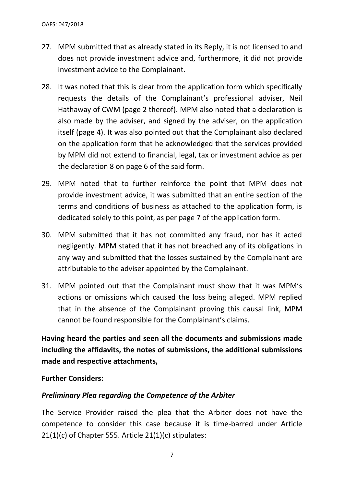- 27. MPM submitted that as already stated in its Reply, it is not licensed to and does not provide investment advice and, furthermore, it did not provide investment advice to the Complainant.
- 28. It was noted that this is clear from the application form which specifically requests the details of the Complainant's professional adviser, Neil Hathaway of CWM (page 2 thereof). MPM also noted that a declaration is also made by the adviser, and signed by the adviser, on the application itself (page 4). It was also pointed out that the Complainant also declared on the application form that he acknowledged that the services provided by MPM did not extend to financial, legal, tax or investment advice as per the declaration 8 on page 6 of the said form.
- 29. MPM noted that to further reinforce the point that MPM does not provide investment advice, it was submitted that an entire section of the terms and conditions of business as attached to the application form, is dedicated solely to this point, as per page 7 of the application form.
- 30. MPM submitted that it has not committed any fraud, nor has it acted negligently. MPM stated that it has not breached any of its obligations in any way and submitted that the losses sustained by the Complainant are attributable to the adviser appointed by the Complainant.
- 31. MPM pointed out that the Complainant must show that it was MPM's actions or omissions which caused the loss being alleged. MPM replied that in the absence of the Complainant proving this causal link, MPM cannot be found responsible for the Complainant's claims.

**Having heard the parties and seen all the documents and submissions made including the affidavits, the notes of submissions, the additional submissions made and respective attachments,**

**Further Considers:**

### *Preliminary Plea regarding the Competence of the Arbiter*

The Service Provider raised the plea that the Arbiter does not have the competence to consider this case because it is time-barred under Article 21(1)(c) of Chapter 555. Article 21(1)(c) stipulates: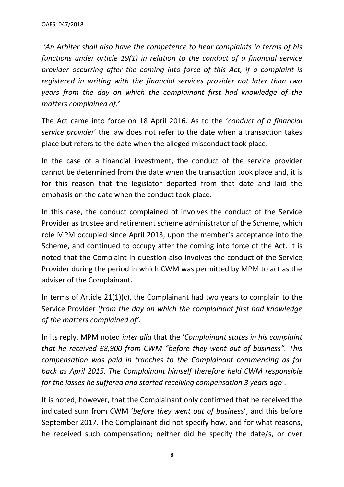*'An Arbiter shall also have the competence to hear complaints in terms of his functions under article 19(1) in relation to the conduct of a financial service provider occurring after the coming into force of this Act, if a complaint is registered in writing with the financial services provider not later than two years from the day on which the complainant first had knowledge of the matters complained of.'*

The Act came into force on 18 April 2016. As to the '*conduct of a financial service provider*' the law does not refer to the date when a transaction takes place but refers to the date when the alleged misconduct took place.

In the case of a financial investment, the conduct of the service provider cannot be determined from the date when the transaction took place and, it is for this reason that the legislator departed from that date and laid the emphasis on the date when the conduct took place.

In this case, the conduct complained of involves the conduct of the Service Provider as trustee and retirement scheme administrator of the Scheme, which role MPM occupied since April 2013, upon the member's acceptance into the Scheme, and continued to occupy after the coming into force of the Act. It is noted that the Complaint in question also involves the conduct of the Service Provider during the period in which CWM was permitted by MPM to act as the adviser of the Complainant.

In terms of Article 21(1)(c), the Complainant had two years to complain to the Service Provider '*from the day on which the complainant first had knowledge of the matters complained of'*.

In its reply, MPM noted *inter alia* that the '*Complainant states in his complaint that he received £8,900 from CWM "before they went out of business". This compensation was paid in tranches to the Complainant commencing as far back as April 2015. The Complainant himself therefore held CWM responsible for the losses he suffered and started receiving compensation 3 years ago*'.

It is noted, however, that the Complainant only confirmed that he received the indicated sum from CWM '*before they went out of busines*s', and this before September 2017. The Complainant did not specify how, and for what reasons, he received such compensation; neither did he specify the date/s, or over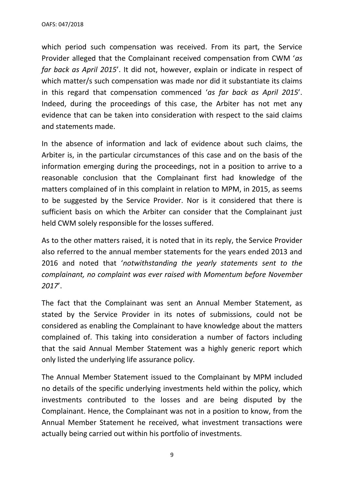which period such compensation was received. From its part, the Service Provider alleged that the Complainant received compensation from CWM '*as far back as April 2015*'. It did not, however, explain or indicate in respect of which matter/s such compensation was made nor did it substantiate its claims in this regard that compensation commenced '*as far back as April 2015*'. Indeed, during the proceedings of this case, the Arbiter has not met any evidence that can be taken into consideration with respect to the said claims and statements made.

In the absence of information and lack of evidence about such claims, the Arbiter is, in the particular circumstances of this case and on the basis of the information emerging during the proceedings, not in a position to arrive to a reasonable conclusion that the Complainant first had knowledge of the matters complained of in this complaint in relation to MPM, in 2015, as seems to be suggested by the Service Provider. Nor is it considered that there is sufficient basis on which the Arbiter can consider that the Complainant just held CWM solely responsible for the losses suffered.

As to the other matters raised, it is noted that in its reply, the Service Provider also referred to the annual member statements for the years ended 2013 and 2016 and noted that '*notwithstanding the yearly statements sent to the complainant, no complaint was ever raised with Momentum before November 2017*'.

The fact that the Complainant was sent an Annual Member Statement, as stated by the Service Provider in its notes of submissions, could not be considered as enabling the Complainant to have knowledge about the matters complained of. This taking into consideration a number of factors including that the said Annual Member Statement was a highly generic report which only listed the underlying life assurance policy.

The Annual Member Statement issued to the Complainant by MPM included no details of the specific underlying investments held within the policy, which investments contributed to the losses and are being disputed by the Complainant. Hence, the Complainant was not in a position to know, from the Annual Member Statement he received, what investment transactions were actually being carried out within his portfolio of investments.

9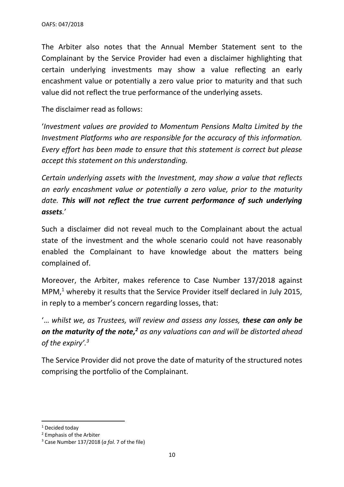The Arbiter also notes that the Annual Member Statement sent to the Complainant by the Service Provider had even a disclaimer highlighting that certain underlying investments may show a value reflecting an early encashment value or potentially a zero value prior to maturity and that such value did not reflect the true performance of the underlying assets.

The disclaimer read as follows:

'*Investment values are provided to Momentum Pensions Malta Limited by the Investment Platforms who are responsible for the accuracy of this information. Every effort has been made to ensure that this statement is correct but please accept this statement on this understanding.* 

*Certain underlying assets with the Investment, may show a value that reflects an early encashment value or potentially a zero value, prior to the maturity date. This will not reflect the true current performance of such underlying assets.*'

Such a disclaimer did not reveal much to the Complainant about the actual state of the investment and the whole scenario could not have reasonably enabled the Complainant to have knowledge about the matters being complained of.

Moreover, the Arbiter, makes reference to Case Number 137/2018 against MPM,<sup>1</sup> whereby it results that the Service Provider itself declared in July 2015, in reply to a member's concern regarding losses, that:

'… *whilst we, as Trustees, will review and assess any losses, these can only be on the maturity of the note, <sup>2</sup> as any valuations can and will be distorted ahead of the expiry'. 3*

The Service Provider did not prove the date of maturity of the structured notes comprising the portfolio of the Complainant.

<sup>&</sup>lt;sup>1</sup> Decided today

<sup>2</sup> Emphasis of the Arbiter

<sup>3</sup> Case Number 137/2018 (*a fol.* 7 of the file)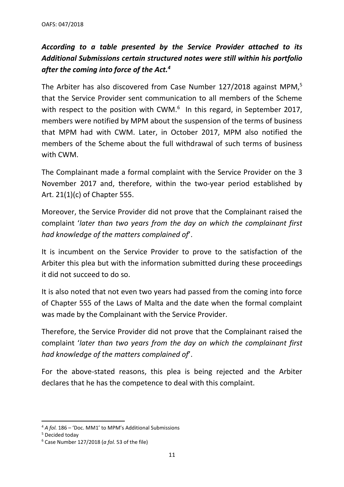# *According to a table presented by the Service Provider attached to its Additional Submissions certain structured notes were still within his portfolio after the coming into force of the Act.<sup>4</sup>*

The Arbiter has also discovered from Case Number 127/2018 against MPM,<sup>5</sup> that the Service Provider sent communication to all members of the Scheme with respect to the position with CWM. $<sup>6</sup>$  In this regard, in September 2017,</sup> members were notified by MPM about the suspension of the terms of business that MPM had with CWM. Later, in October 2017, MPM also notified the members of the Scheme about the full withdrawal of such terms of business with CWM.

The Complainant made a formal complaint with the Service Provider on the 3 November 2017 and, therefore, within the two-year period established by Art. 21(1)(c) of Chapter 555.

Moreover, the Service Provider did not prove that the Complainant raised the complaint '*later than two years from the day on which the complainant first had knowledge of the matters complained of*'.

It is incumbent on the Service Provider to prove to the satisfaction of the Arbiter this plea but with the information submitted during these proceedings it did not succeed to do so.

It is also noted that not even two years had passed from the coming into force of Chapter 555 of the Laws of Malta and the date when the formal complaint was made by the Complainant with the Service Provider.

Therefore, the Service Provider did not prove that the Complainant raised the complaint '*later than two years from the day on which the complainant first had knowledge of the matters complained of*'.

For the above-stated reasons, this plea is being rejected and the Arbiter declares that he has the competence to deal with this complaint.

<sup>4</sup> *A fol.* 186 – 'Doc. MM1' to MPM's Additional Submissions

<sup>5</sup> Decided today

<sup>6</sup> Case Number 127/2018 (*a fol.* 53 of the file)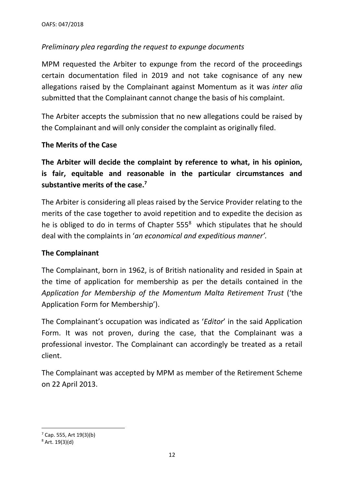## *Preliminary plea regarding the request to expunge documents*

MPM requested the Arbiter to expunge from the record of the proceedings certain documentation filed in 2019 and not take cognisance of any new allegations raised by the Complainant against Momentum as it was *inter alia* submitted that the Complainant cannot change the basis of his complaint.

The Arbiter accepts the submission that no new allegations could be raised by the Complainant and will only consider the complaint as originally filed.

### **The Merits of the Case**

**The Arbiter will decide the complaint by reference to what, in his opinion, is fair, equitable and reasonable in the particular circumstances and substantive merits of the case.<sup>7</sup>**

The Arbiter is considering all pleas raised by the Service Provider relating to the merits of the case together to avoid repetition and to expedite the decision as he is obliged to do in terms of Chapter  $555<sup>8</sup>$  which stipulates that he should deal with the complaints in '*an economical and expeditious manner'.*

### **The Complainant**

The Complainant, born in 1962, is of British nationality and resided in Spain at the time of application for membership as per the details contained in the *Application for Membership of the Momentum Malta Retirement Trust* ('the Application Form for Membership').

The Complainant's occupation was indicated as '*Editor*' in the said Application Form. It was not proven, during the case, that the Complainant was a professional investor. The Complainant can accordingly be treated as a retail client.

The Complainant was accepted by MPM as member of the Retirement Scheme on 22 April 2013.

 $7$  Cap. 555, Art 19(3)(b)

<sup>8</sup> Art. 19(3)(d)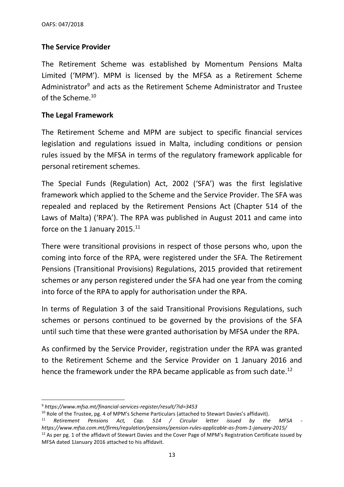## **The Service Provider**

The Retirement Scheme was established by Momentum Pensions Malta Limited ('MPM'). MPM is licensed by the MFSA as a Retirement Scheme Administrator<sup>9</sup> and acts as the Retirement Scheme Administrator and Trustee of the Scheme. 10

#### **The Legal Framework**

The Retirement Scheme and MPM are subject to specific financial services legislation and regulations issued in Malta, including conditions or pension rules issued by the MFSA in terms of the regulatory framework applicable for personal retirement schemes.

The Special Funds (Regulation) Act, 2002 ('SFA') was the first legislative framework which applied to the Scheme and the Service Provider. The SFA was repealed and replaced by the Retirement Pensions Act (Chapter 514 of the Laws of Malta) ('RPA'). The RPA was published in August 2011 and came into force on the 1 January 2015.<sup>11</sup>

There were transitional provisions in respect of those persons who, upon the coming into force of the RPA, were registered under the SFA. The Retirement Pensions (Transitional Provisions) Regulations, 2015 provided that retirement schemes or any person registered under the SFA had one year from the coming into force of the RPA to apply for authorisation under the RPA.

In terms of Regulation 3 of the said Transitional Provisions Regulations, such schemes or persons continued to be governed by the provisions of the SFA until such time that these were granted authorisation by MFSA under the RPA.

As confirmed by the Service Provider, registration under the RPA was granted to the Retirement Scheme and the Service Provider on 1 January 2016 and hence the framework under the RPA became applicable as from such date.<sup>12</sup>

<sup>9</sup> *https://www.mfsa.mt/financial-services-register/result/?id=3453*

<sup>&</sup>lt;sup>10</sup> Role of the Trustee, pg. 4 of MPM's Scheme Particulars (attached to Stewart Davies's affidavit).

<sup>11</sup> *Retirement Pensions Act, Cap. 514 / Circular letter issued by the MFSA https://www.mfsa.com.mt/firms/regulation/pensions/pension-rules-applicable-as-from-1-january-2015/*  $12$  As per pg. 1 of the affidavit of Stewart Davies and the Cover Page of MPM's Registration Certificate issued by MFSA dated 1January 2016 attached to his affidavit.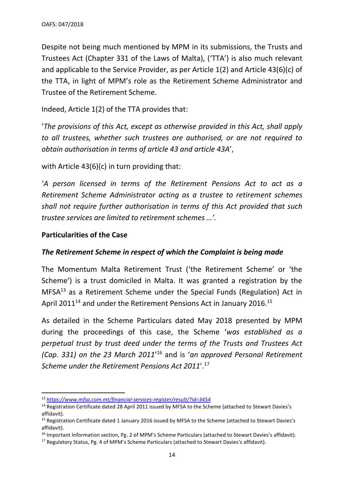Despite not being much mentioned by MPM in its submissions, the Trusts and Trustees Act (Chapter 331 of the Laws of Malta), ('TTA') is also much relevant and applicable to the Service Provider, as per Article 1(2) and Article 43(6)(c) of the TTA, in light of MPM's role as the Retirement Scheme Administrator and Trustee of the Retirement Scheme.

Indeed, Article 1(2) of the TTA provides that:

'*The provisions of this Act, except as otherwise provided in this Act, shall apply to all trustees, whether such trustees are authorised, or are not required to obtain authorisation in terms of article 43 and article 43A*',

with Article 43(6)(c) in turn providing that:

'*A person licensed in terms of the Retirement Pensions Act to act as a Retirement Scheme Administrator acting as a trustee to retirement schemes shall not require further authorisation in terms of this Act provided that such trustee services are limited to retirement schemes …'.*

#### **Particularities of the Case**

#### *The Retirement Scheme in respect of which the Complaint is being made*

The Momentum Malta Retirement Trust ('the Retirement Scheme' or 'the Scheme') is a trust domiciled in Malta. It was granted a registration by the MFSA<sup>13</sup> as a Retirement Scheme under the Special Funds (Regulation) Act in April 2011<sup>14</sup> and under the Retirement Pensions Act in January 2016.<sup>15</sup>

As detailed in the Scheme Particulars dated May 2018 presented by MPM during the proceedings of this case, the Scheme '*was established as a perpetual trust by trust deed under the terms of the Trusts and Trustees Act (Cap. 331) on the 23 March 2011*' <sup>16</sup> and is '*an approved Personal Retirement Scheme under the Retirement Pensions Act 2011*'. 17

<sup>13</sup> *<https://www.mfsa.com.mt/financial-services-register/result/?id=3454>*

<sup>&</sup>lt;sup>14</sup> Registration Certificate dated 28 April 2011 issued by MFSA to the Scheme (attached to Stewart Davies's affidavit).

<sup>&</sup>lt;sup>15</sup> Registration Certificate dated 1 January 2016 issued by MFSA to the Scheme (attached to Stewart Davies's affidavit).

<sup>&</sup>lt;sup>16</sup> Important Information section, Pg. 2 of MPM's Scheme Particulars (attached to Stewart Davies's affidavit).

<sup>&</sup>lt;sup>17</sup> Regulatory Status, Pg. 4 of MPM's Scheme Particulars (attached to Stewart Davies's affidavit).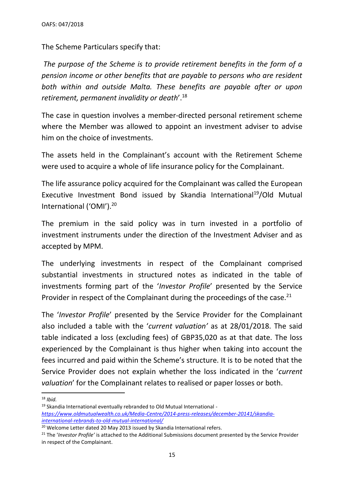The Scheme Particulars specify that:

*The purpose of the Scheme is to provide retirement benefits in the form of a pension income or other benefits that are payable to persons who are resident both within and outside Malta. These benefits are payable after or upon retirement, permanent invalidity or death*'.<sup>18</sup>

The case in question involves a member-directed personal retirement scheme where the Member was allowed to appoint an investment adviser to advise him on the choice of investments.

The assets held in the Complainant's account with the Retirement Scheme were used to acquire a whole of life insurance policy for the Complainant.

The life assurance policy acquired for the Complainant was called the European Executive Investment Bond issued by Skandia International<sup>19</sup>/Old Mutual International ('OMI'). 20

The premium in the said policy was in turn invested in a portfolio of investment instruments under the direction of the Investment Adviser and as accepted by MPM.

The underlying investments in respect of the Complainant comprised substantial investments in structured notes as indicated in the table of investments forming part of the '*Investor Profile*' presented by the Service Provider in respect of the Complainant during the proceedings of the case.<sup>21</sup>

The '*Investor Profile*' presented by the Service Provider for the Complainant also included a table with the '*current valuation'* as at 28/01/2018. The said table indicated a loss (excluding fees) of GBP35,020 as at that date. The loss experienced by the Complainant is thus higher when taking into account the fees incurred and paid within the Scheme's structure. It is to be noted that the Service Provider does not explain whether the loss indicated in the '*current valuation*' for the Complainant relates to realised or paper losses or both.

<sup>18</sup> *Ibid.*

<sup>19</sup> Skandia International eventually rebranded to Old Mutual International *[https://www.oldmutualwealth.co.uk/Media-Centre/2014-press-releases/december-20141/skandia](https://www.oldmutualwealth.co.uk/Media-Centre/2014-press-releases/december-20141/skandia-international-rebrands-to-old-mutual-international/)[international-rebrands-to-old-mutual-international/](https://www.oldmutualwealth.co.uk/Media-Centre/2014-press-releases/december-20141/skandia-international-rebrands-to-old-mutual-international/)*

<sup>&</sup>lt;sup>20</sup> Welcome Letter dated 20 May 2013 issued by Skandia International refers.

<sup>21</sup> The '*Investor Profile'* is attached to the Additional Submissions document presented by the Service Provider in respect of the Complainant.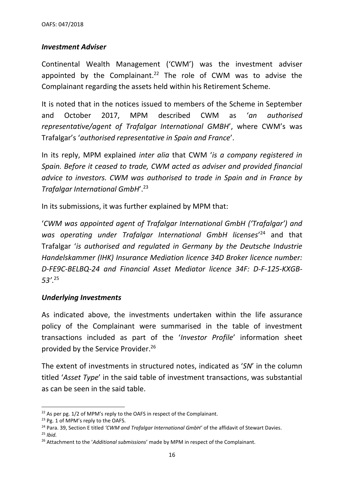#### *Investment Adviser*

Continental Wealth Management ('CWM') was the investment adviser appointed by the Complainant.<sup>22</sup> The role of CWM was to advise the Complainant regarding the assets held within his Retirement Scheme.

It is noted that in the notices issued to members of the Scheme in September and October 2017, MPM described CWM as '*an authorised representative/agent of Trafalgar International GMBH*', where CWM's was Trafalgar's '*authorised representative in Spain and France*'.

In its reply, MPM explained *inter alia* that CWM '*is a company registered in Spain. Before it ceased to trade, CWM acted as adviser and provided financial advice to investors. CWM was authorised to trade in Spain and in France by Trafalgar International GmbH*'.<sup>23</sup>

In its submissions, it was further explained by MPM that:

'*CWM was appointed agent of Trafalgar International GmbH ('Trafalgar') and*  was operating under Trafalgar International GmbH licenses<sup>'24</sup> and that Trafalgar '*is authorised and regulated in Germany by the Deutsche Industrie Handelskammer (IHK) Insurance Mediation licence 34D Broker licence number: D-FE9C-BELBQ-24 and Financial Asset Mediator licence 34F: D-F-125-KXGB-53'*. 25

#### *Underlying Investments*

As indicated above, the investments undertaken within the life assurance policy of the Complainant were summarised in the table of investment transactions included as part of the '*Investor Profile*' information sheet provided by the Service Provider.<sup>26</sup>

The extent of investments in structured notes, indicated as '*SN*' in the column titled '*Asset Type*' in the said table of investment transactions, was substantial as can be seen in the said table.

 $22$  As per pg. 1/2 of MPM's reply to the OAFS in respect of the Complainant.

<sup>&</sup>lt;sup>23</sup> Pg. 1 of MPM's reply to the OAFS.

<sup>24</sup> Para. 39, Section E titled *'CWM and Trafalgar International GmbH'* of the affidavit of Stewart Davies. <sup>25</sup> *Ibid.*

<sup>26</sup> Attachment to the '*Additional submissions*' made by MPM in respect of the Complainant.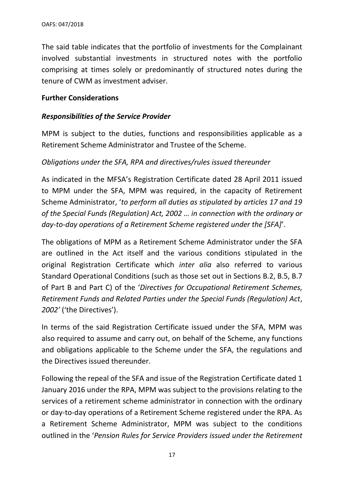The said table indicates that the portfolio of investments for the Complainant involved substantial investments in structured notes with the portfolio comprising at times solely or predominantly of structured notes during the tenure of CWM as investment adviser.

#### **Further Considerations**

#### *Responsibilities of the Service Provider*

MPM is subject to the duties, functions and responsibilities applicable as a Retirement Scheme Administrator and Trustee of the Scheme.

#### *Obligations under the SFA, RPA and directives/rules issued thereunder*

As indicated in the MFSA's Registration Certificate dated 28 April 2011 issued to MPM under the SFA, MPM was required, in the capacity of Retirement Scheme Administrator, '*to perform all duties as stipulated by articles 17 and 19 of the Special Funds (Regulation) Act, 2002 … in connection with the ordinary or day-to-day operations of a Retirement Scheme registered under the [SFA]*'.

The obligations of MPM as a Retirement Scheme Administrator under the SFA are outlined in the Act itself and the various conditions stipulated in the original Registration Certificate which *inter alia* also referred to various Standard Operational Conditions (such as those set out in Sections B.2, B.5, B.7 of Part B and Part C) of the '*Directives for Occupational Retirement Schemes, Retirement Funds and Related Parties under the Special Funds (Regulation) Act*, *2002'* ('the Directives').

In terms of the said Registration Certificate issued under the SFA, MPM was also required to assume and carry out, on behalf of the Scheme, any functions and obligations applicable to the Scheme under the SFA, the regulations and the Directives issued thereunder.

Following the repeal of the SFA and issue of the Registration Certificate dated 1 January 2016 under the RPA, MPM was subject to the provisions relating to the services of a retirement scheme administrator in connection with the ordinary or day-to-day operations of a Retirement Scheme registered under the RPA. As a Retirement Scheme Administrator, MPM was subject to the conditions outlined in the '*Pension Rules for Service Providers issued under the Retirement*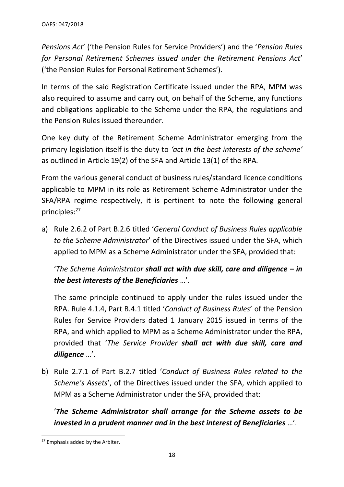*Pensions Act*' ('the Pension Rules for Service Providers') and the '*Pension Rules for Personal Retirement Schemes issued under the Retirement Pensions Act*' ('the Pension Rules for Personal Retirement Schemes').

In terms of the said Registration Certificate issued under the RPA, MPM was also required to assume and carry out, on behalf of the Scheme, any functions and obligations applicable to the Scheme under the RPA, the regulations and the Pension Rules issued thereunder.

One key duty of the Retirement Scheme Administrator emerging from the primary legislation itself is the duty to *'act in the best interests of the scheme'* as outlined in Article 19(2) of the SFA and Article 13(1) of the RPA*.* 

From the various general conduct of business rules/standard licence conditions applicable to MPM in its role as Retirement Scheme Administrator under the SFA/RPA regime respectively, it is pertinent to note the following general principles: 27

a) Rule 2.6.2 of Part B.2.6 titled '*General Conduct of Business Rules applicable to the Scheme Administrator*' of the Directives issued under the SFA, which applied to MPM as a Scheme Administrator under the SFA, provided that:

'*The Scheme Administrator shall act with due skill, care and diligence – in the best interests of the Beneficiaries* …'.

The same principle continued to apply under the rules issued under the RPA. Rule 4.1.4, Part B.4.1 titled '*Conduct of Business Rules*' of the Pension Rules for Service Providers dated 1 January 2015 issued in terms of the RPA, and which applied to MPM as a Scheme Administrator under the RPA, provided that '*The Service Provider shall act with due skill, care and diligence* …'.

b) Rule 2.7.1 of Part B.2.7 titled '*Conduct of Business Rules related to the Scheme's Assets*', of the Directives issued under the SFA, which applied to MPM as a Scheme Administrator under the SFA, provided that:

'*The Scheme Administrator shall arrange for the Scheme assets to be invested in a prudent manner and in the best interest of Beneficiaries* …'.

<sup>&</sup>lt;sup>27</sup> Emphasis added by the Arbiter.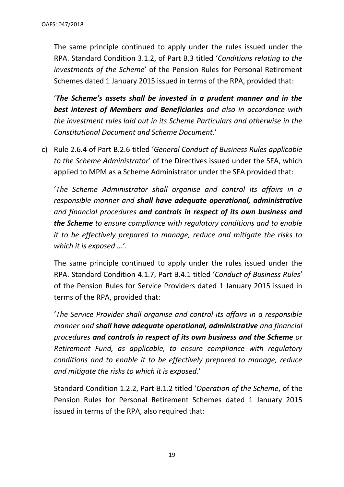The same principle continued to apply under the rules issued under the RPA. Standard Condition 3.1.2, of Part B.3 titled '*Conditions relating to the investments of the Scheme*' of the Pension Rules for Personal Retirement Schemes dated 1 January 2015 issued in terms of the RPA, provided that:

'*The Scheme's assets shall be invested in a prudent manner and in the best interest of Members and Beneficiaries and also in accordance with the investment rules laid out in its Scheme Particulars and otherwise in the Constitutional Document and Scheme Document.*'

c) Rule 2.6.4 of Part B.2.6 titled '*General Conduct of Business Rules applicable to the Scheme Administrator*' of the Directives issued under the SFA, which applied to MPM as a Scheme Administrator under the SFA provided that:

'*The Scheme Administrator shall organise and control its affairs in a responsible manner and shall have adequate operational, administrative and financial procedures and controls in respect of its own business and the Scheme to ensure compliance with regulatory conditions and to enable it to be effectively prepared to manage, reduce and mitigate the risks to which it is exposed …'.*

The same principle continued to apply under the rules issued under the RPA. Standard Condition 4.1.7, Part B.4.1 titled '*Conduct of Business Rules*' of the Pension Rules for Service Providers dated 1 January 2015 issued in terms of the RPA, provided that:

'*The Service Provider shall organise and control its affairs in a responsible manner and shall have adequate operational, administrative and financial procedures and controls in respect of its own business and the Scheme or Retirement Fund, as applicable, to ensure compliance with regulatory conditions and to enable it to be effectively prepared to manage, reduce and mitigate the risks to which it is exposed*.'

Standard Condition 1.2.2, Part B.1.2 titled '*Operation of the Scheme*, of the Pension Rules for Personal Retirement Schemes dated 1 January 2015 issued in terms of the RPA, also required that: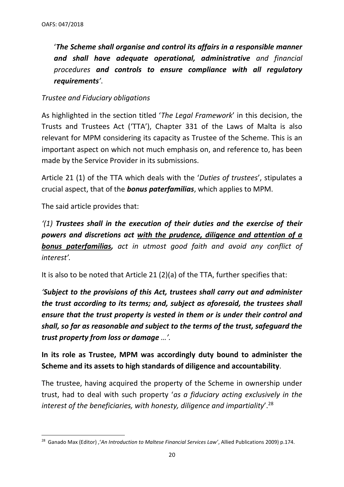'*The Scheme shall organise and control its affairs in a responsible manner and shall have adequate operational, administrative and financial procedures and controls to ensure compliance with all regulatory requirements'*.

### *Trustee and Fiduciary obligations*

As highlighted in the section titled '*The Legal Framework*' in this decision, the Trusts and Trustees Act ('TTA'), Chapter 331 of the Laws of Malta is also relevant for MPM considering its capacity as Trustee of the Scheme. This is an important aspect on which not much emphasis on, and reference to, has been made by the Service Provider in its submissions.

Article 21 (1) of the TTA which deals with the '*Duties of trustees*', stipulates a crucial aspect, that of the *bonus paterfamilias*, which applies to MPM.

The said article provides that:

*'(1) Trustees shall in the execution of their duties and the exercise of their powers and discretions act with the prudence, diligence and attention of a bonus paterfamilias, act in utmost good faith and avoid any conflict of interest'.* 

It is also to be noted that Article 21 (2)(a) of the TTA, further specifies that:

*'Subject to the provisions of this Act, trustees shall carry out and administer the trust according to its terms; and, subject as aforesaid, the trustees shall ensure that the trust property is vested in them or is under their control and shall, so far as reasonable and subject to the terms of the trust, safeguard the trust property from loss or damage …'.* 

**In its role as Trustee, MPM was accordingly duty bound to administer the Scheme and its assets to high standards of diligence and accountability**.

The trustee, having acquired the property of the Scheme in ownership under trust, had to deal with such property '*as a fiduciary acting exclusively in the interest of the beneficiaries, with honesty, diligence and impartiality*'.<sup>28</sup>

<sup>28</sup> Ganado Max (Editor) ,'*An Introduction to Maltese Financial Services Law'*, Allied Publications 2009) p.174.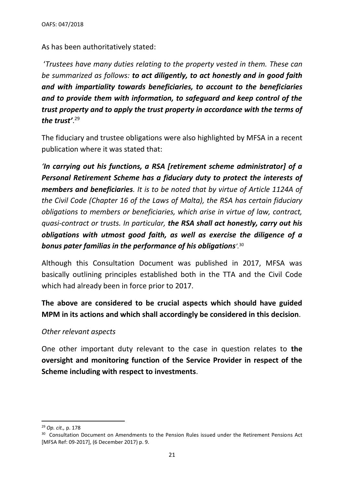As has been authoritatively stated:

'*Trustees have many duties relating to the property vested in them. These can be summarized as follows: to act diligently, to act honestly and in good faith and with impartiality towards beneficiaries, to account to the beneficiaries and to provide them with information, to safeguard and keep control of the trust property and to apply the trust property in accordance with the terms of the trust'*. 29

The fiduciary and trustee obligations were also highlighted by MFSA in a recent publication where it was stated that:

*'In carrying out his functions, a RSA [retirement scheme administrator] of a Personal Retirement Scheme has a fiduciary duty to protect the interests of members and beneficiaries. It is to be noted that by virtue of Article 1124A of the Civil Code (Chapter 16 of the Laws of Malta), the RSA has certain fiduciary obligations to members or beneficiaries, which arise in virtue of law, contract, quasi-contract or trusts. In particular, the RSA shall act honestly, carry out his obligations with utmost good faith, as well as exercise the diligence of a bonus pater familias in the performance of his obligations'.*<sup>30</sup>

Although this Consultation Document was published in 2017, MFSA was basically outlining principles established both in the TTA and the Civil Code which had already been in force prior to 2017.

**The above are considered to be crucial aspects which should have guided MPM in its actions and which shall accordingly be considered in this decision**.

#### *Other relevant aspects*

One other important duty relevant to the case in question relates to **the oversight and monitoring function of the Service Provider in respect of the Scheme including with respect to investments**.

<sup>29</sup> *Op. cit.,* p. 178

<sup>&</sup>lt;sup>30</sup> Consultation Document on Amendments to the Pension Rules issued under the Retirement Pensions Act [MFSA Ref: 09-2017], (6 December 2017) p. 9.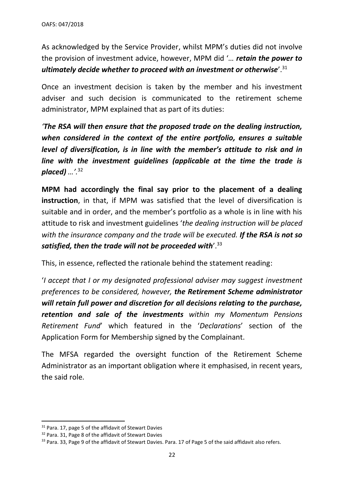As acknowledged by the Service Provider, whilst MPM's duties did not involve the provision of investment advice, however, MPM did '*… retain the power to ultimately decide whether to proceed with an investment or otherwise*'.<sup>31</sup>

Once an investment decision is taken by the member and his investment adviser and such decision is communicated to the retirement scheme administrator, MPM explained that as part of its duties:

*'The RSA will then ensure that the proposed trade on the dealing instruction, when considered in the context of the entire portfolio, ensures a suitable level of diversification, is in line with the member's attitude to risk and in line with the investment guidelines (applicable at the time the trade is placed) …'.*<sup>32</sup>

**MPM had accordingly the final say prior to the placement of a dealing instruction**, in that, if MPM was satisfied that the level of diversification is suitable and in order, and the member's portfolio as a whole is in line with his attitude to risk and investment guidelines '*the dealing instruction will be placed with the insurance company and the trade will be executed. If the RSA is not so satisfied, then the trade will not be proceeded with*'.<sup>33</sup>

This, in essence, reflected the rationale behind the statement reading:

'*I accept that I or my designated professional adviser may suggest investment preferences to be considered, however, the Retirement Scheme administrator will retain full power and discretion for all decisions relating to the purchase, retention and sale of the investments within my Momentum Pensions Retirement Fund*' which featured in the '*Declarations*' section of the Application Form for Membership signed by the Complainant.

The MFSA regarded the oversight function of the Retirement Scheme Administrator as an important obligation where it emphasised, in recent years, the said role.

<sup>&</sup>lt;sup>31</sup> Para. 17, page 5 of the affidavit of Stewart Davies

<sup>32</sup> Para. 31, Page 8 of the affidavit of Stewart Davies

<sup>33</sup> Para. 33, Page 9 of the affidavit of Stewart Davies. Para. 17 of Page 5 of the said affidavit also refers.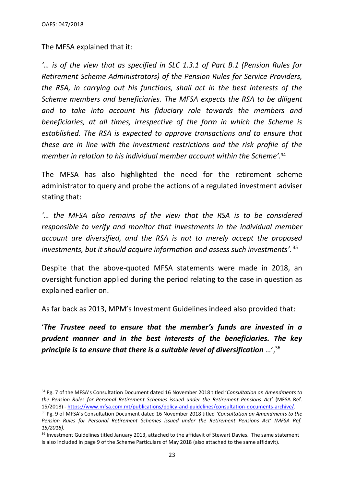The MFSA explained that it:

*'… is of the view that as specified in SLC 1.3.1 of Part B.1 (Pension Rules for Retirement Scheme Administrators) of the Pension Rules for Service Providers, the RSA, in carrying out his functions, shall act in the best interests of the Scheme members and beneficiaries. The MFSA expects the RSA to be diligent and to take into account his fiduciary role towards the members and beneficiaries, at all times, irrespective of the form in which the Scheme is established. The RSA is expected to approve transactions and to ensure that these are in line with the investment restrictions and the risk profile of the member in relation to his individual member account within the Scheme'.*<sup>34</sup>

The MFSA has also highlighted the need for the retirement scheme administrator to query and probe the actions of a regulated investment adviser stating that:

*'… the MFSA also remains of the view that the RSA is to be considered responsible to verify and monitor that investments in the individual member account are diversified, and the RSA is not to merely accept the proposed investments, but it should acquire information and assess such investments'.* <sup>35</sup>

Despite that the above-quoted MFSA statements were made in 2018, an oversight function applied during the period relating to the case in question as explained earlier on.

As far back as 2013, MPM's Investment Guidelines indeed also provided that:

'*The Trustee need to ensure that the member's funds are invested in a prudent manner and in the best interests of the beneficiaries. The key principle is to ensure that there is a suitable level of diversification …*', 36

<sup>34</sup> Pg. 7 of the MFSA's Consultation Document dated 16 November 2018 titled '*Consultation on Amendments to the Pension Rules for Personal Retirement Schemes issued under the Retirement Pensions Act*' (MFSA Ref. 15/2018) - [https://www.mfsa.com.mt/publications/policy-and-guidelines/consultation-documents-archive/.](https://www.mfsa.com.mt/publications/policy-and-guidelines/consultation-documents-archive/)

<sup>35</sup> Pg. 9 of MFSA's Consultation Document dated 16 November 2018 titled *'Consultation on Amendments to the Pension Rules for Personal Retirement Schemes issued under the Retirement Pensions Act' (MFSA Ref. 15/2018).*

<sup>&</sup>lt;sup>36</sup> Investment Guidelines titled January 2013, attached to the affidavit of Stewart Davies. The same statement is also included in page 9 of the Scheme Particulars of May 2018 (also attached to the same affidavit).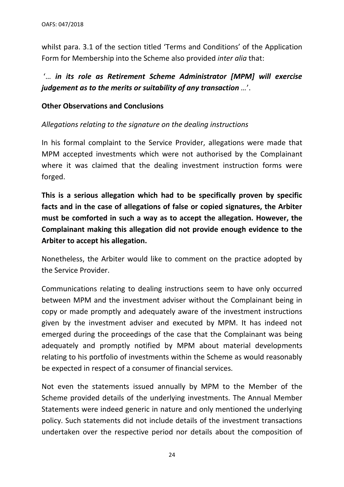whilst para. 3.1 of the section titled 'Terms and Conditions' of the Application Form for Membership into the Scheme also provided *inter alia* that:

# '… *in its role as Retirement Scheme Administrator [MPM] will exercise judgement as to the merits or suitability of any transaction …*'.

## **Other Observations and Conclusions**

## *Allegations relating to the signature on the dealing instructions*

In his formal complaint to the Service Provider, allegations were made that MPM accepted investments which were not authorised by the Complainant where it was claimed that the dealing investment instruction forms were forged.

**This is a serious allegation which had to be specifically proven by specific facts and in the case of allegations of false or copied signatures, the Arbiter must be comforted in such a way as to accept the allegation. However, the Complainant making this allegation did not provide enough evidence to the Arbiter to accept his allegation.**

Nonetheless, the Arbiter would like to comment on the practice adopted by the Service Provider.

Communications relating to dealing instructions seem to have only occurred between MPM and the investment adviser without the Complainant being in copy or made promptly and adequately aware of the investment instructions given by the investment adviser and executed by MPM. It has indeed not emerged during the proceedings of the case that the Complainant was being adequately and promptly notified by MPM about material developments relating to his portfolio of investments within the Scheme as would reasonably be expected in respect of a consumer of financial services.

Not even the statements issued annually by MPM to the Member of the Scheme provided details of the underlying investments. The Annual Member Statements were indeed generic in nature and only mentioned the underlying policy. Such statements did not include details of the investment transactions undertaken over the respective period nor details about the composition of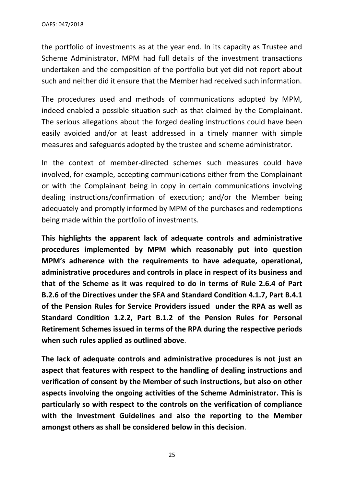the portfolio of investments as at the year end. In its capacity as Trustee and Scheme Administrator, MPM had full details of the investment transactions undertaken and the composition of the portfolio but yet did not report about such and neither did it ensure that the Member had received such information.

The procedures used and methods of communications adopted by MPM, indeed enabled a possible situation such as that claimed by the Complainant. The serious allegations about the forged dealing instructions could have been easily avoided and/or at least addressed in a timely manner with simple measures and safeguards adopted by the trustee and scheme administrator.

In the context of member-directed schemes such measures could have involved, for example, accepting communications either from the Complainant or with the Complainant being in copy in certain communications involving dealing instructions/confirmation of execution; and/or the Member being adequately and promptly informed by MPM of the purchases and redemptions being made within the portfolio of investments.

**This highlights the apparent lack of adequate controls and administrative procedures implemented by MPM which reasonably put into question MPM's adherence with the requirements to have adequate, operational, administrative procedures and controls in place in respect of its business and that of the Scheme as it was required to do in terms of Rule 2.6.4 of Part B.2.6 of the Directives under the SFA and Standard Condition 4.1.7, Part B.4.1 of the Pension Rules for Service Providers issued under the RPA as well as Standard Condition 1.2.2, Part B.1.2 of the Pension Rules for Personal Retirement Schemes issued in terms of the RPA during the respective periods when such rules applied as outlined above**.

**The lack of adequate controls and administrative procedures is not just an aspect that features with respect to the handling of dealing instructions and verification of consent by the Member of such instructions, but also on other aspects involving the ongoing activities of the Scheme Administrator. This is particularly so with respect to the controls on the verification of compliance with the Investment Guidelines and also the reporting to the Member amongst others as shall be considered below in this decision**.

25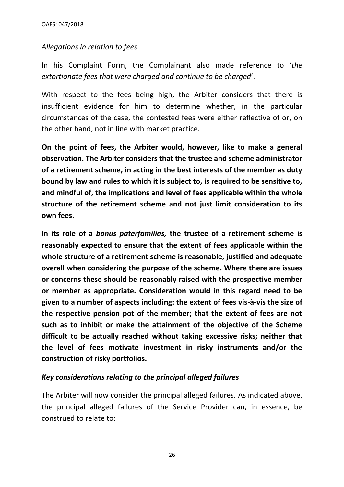#### *Allegations in relation to fees*

In his Complaint Form, the Complainant also made reference to '*the extortionate fees that were charged and continue to be charged*'.

With respect to the fees being high, the Arbiter considers that there is insufficient evidence for him to determine whether, in the particular circumstances of the case, the contested fees were either reflective of or, on the other hand, not in line with market practice.

**On the point of fees, the Arbiter would, however, like to make a general observation. The Arbiter considers that the trustee and scheme administrator of a retirement scheme, in acting in the best interests of the member as duty bound by law and rules to which it is subject to, is required to be sensitive to, and mindful of, the implications and level of fees applicable within the whole structure of the retirement scheme and not just limit consideration to its own fees.** 

**In its role of a** *bonus paterfamilias,* **the trustee of a retirement scheme is reasonably expected to ensure that the extent of fees applicable within the whole structure of a retirement scheme is reasonable, justified and adequate overall when considering the purpose of the scheme. Where there are issues or concerns these should be reasonably raised with the prospective member or member as appropriate. Consideration would in this regard need to be given to a number of aspects including: the extent of fees vis-à-vis the size of the respective pension pot of the member; that the extent of fees are not such as to inhibit or make the attainment of the objective of the Scheme difficult to be actually reached without taking excessive risks; neither that the level of fees motivate investment in risky instruments and/or the construction of risky portfolios.**

### *Key considerations relating to the principal alleged failures*

The Arbiter will now consider the principal alleged failures. As indicated above, the principal alleged failures of the Service Provider can, in essence, be construed to relate to: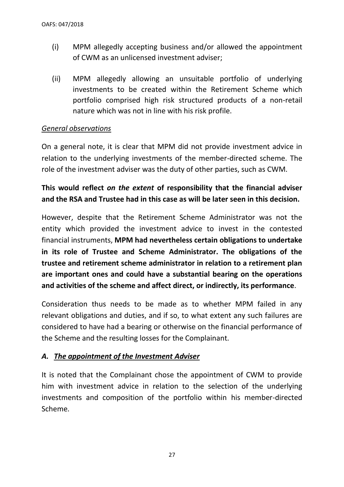- (i) MPM allegedly accepting business and/or allowed the appointment of CWM as an unlicensed investment adviser;
- (ii) MPM allegedly allowing an unsuitable portfolio of underlying investments to be created within the Retirement Scheme which portfolio comprised high risk structured products of a non-retail nature which was not in line with his risk profile.

### *General observations*

On a general note, it is clear that MPM did not provide investment advice in relation to the underlying investments of the member-directed scheme. The role of the investment adviser was the duty of other parties, such as CWM.

# **This would reflect** *on the extent* **of responsibility that the financial adviser and the RSA and Trustee had in this case as will be later seen in this decision.**

However, despite that the Retirement Scheme Administrator was not the entity which provided the investment advice to invest in the contested financial instruments, **MPM had nevertheless certain obligations to undertake in its role of Trustee and Scheme Administrator. The obligations of the trustee and retirement scheme administrator in relation to a retirement plan are important ones and could have a substantial bearing on the operations and activities of the scheme and affect direct, or indirectly, its performance**.

Consideration thus needs to be made as to whether MPM failed in any relevant obligations and duties, and if so, to what extent any such failures are considered to have had a bearing or otherwise on the financial performance of the Scheme and the resulting losses for the Complainant.

### *A. The appointment of the Investment Adviser*

It is noted that the Complainant chose the appointment of CWM to provide him with investment advice in relation to the selection of the underlying investments and composition of the portfolio within his member-directed Scheme.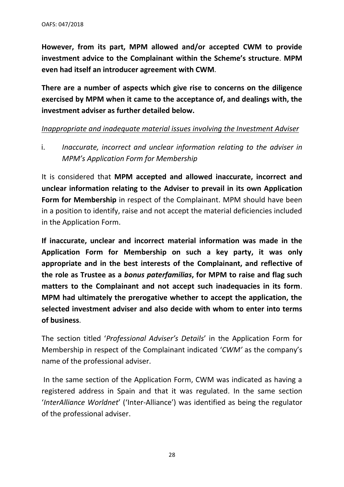**However, from its part, MPM allowed and/or accepted CWM to provide investment advice to the Complainant within the Scheme's structure**. **MPM even had itself an introducer agreement with CWM**.

**There are a number of aspects which give rise to concerns on the diligence exercised by MPM when it came to the acceptance of, and dealings with, the investment adviser as further detailed below.** 

#### *Inappropriate and inadequate material issues involving the Investment Adviser*

i. *Inaccurate, incorrect and unclear information relating to the adviser in MPM's Application Form for Membership*

It is considered that **MPM accepted and allowed inaccurate, incorrect and unclear information relating to the Adviser to prevail in its own Application Form for Membership** in respect of the Complainant. MPM should have been in a position to identify, raise and not accept the material deficiencies included in the Application Form.

**If inaccurate, unclear and incorrect material information was made in the Application Form for Membership on such a key party, it was only appropriate and in the best interests of the Complainant, and reflective of the role as Trustee as a** *bonus paterfamilias***, for MPM to raise and flag such matters to the Complainant and not accept such inadequacies in its form**. **MPM had ultimately the prerogative whether to accept the application, the selected investment adviser and also decide with whom to enter into terms of business**.

The section titled '*Professional Adviser's Details*' in the Application Form for Membership in respect of the Complainant indicated '*CWM'* as the company's name of the professional adviser.

In the same section of the Application Form, CWM was indicated as having a registered address in Spain and that it was regulated. In the same section '*InterAlliance Worldnet*' ('Inter-Alliance') was identified as being the regulator of the professional adviser.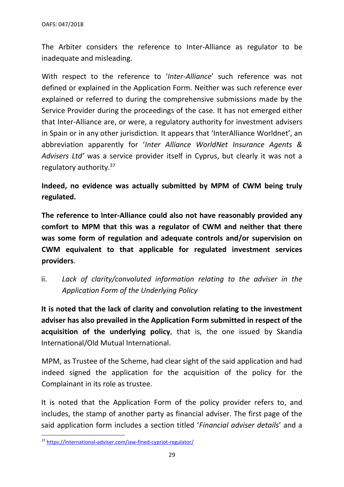The Arbiter considers the reference to Inter-Alliance as regulator to be inadequate and misleading.

With respect to the reference to '*Inter-Alliance*' such reference was not defined or explained in the Application Form. Neither was such reference ever explained or referred to during the comprehensive submissions made by the Service Provider during the proceedings of the case. It has not emerged either that Inter-Alliance are, or were, a regulatory authority for investment advisers in Spain or in any other jurisdiction. It appears that 'InterAlliance Worldnet', an abbreviation apparently for '*Inter Alliance WorldNet Insurance Agents & Advisers Ltd'* was a service provider itself in Cyprus, but clearly it was not a regulatory authority.<sup>37</sup>

**Indeed, no evidence was actually submitted by MPM of CWM being truly regulated.**

**The reference to Inter-Alliance could also not have reasonably provided any comfort to MPM that this was a regulator of CWM and neither that there was some form of regulation and adequate controls and/or supervision on CWM equivalent to that applicable for regulated investment services providers**.

ii. *Lack of clarity/convoluted information relating to the adviser in the Application Form of the Underlying Policy*

**It is noted that the lack of clarity and convolution relating to the investment adviser has also prevailed in the Application Form submitted in respect of the acquisition of the underlying policy**, that is, the one issued by Skandia International/Old Mutual International.

MPM, as Trustee of the Scheme, had clear sight of the said application and had indeed signed the application for the acquisition of the policy for the Complainant in its role as trustee.

It is noted that the Application Form of the policy provider refers to, and includes, the stamp of another party as financial adviser. The first page of the said application form includes a section titled '*Financial adviser details*' and a

<sup>37</sup> <https://international-adviser.com/iaw-fined-cypriot-regulator/>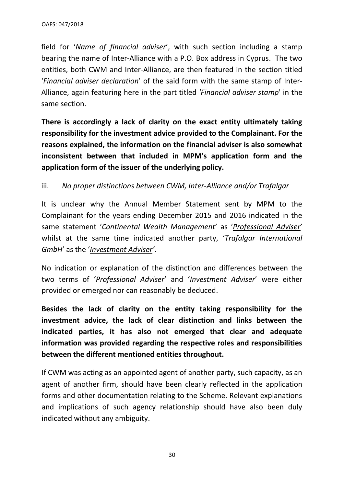field for '*Name of financial adviser*', with such section including a stamp bearing the name of Inter-Alliance with a P.O. Box address in Cyprus. The two entities, both CWM and Inter-Alliance, are then featured in the section titled '*Financial adviser declaration*' of the said form with the same stamp of Inter-Alliance, again featuring here in the part titled *'Financial adviser stamp*' in the same section.

**There is accordingly a lack of clarity on the exact entity ultimately taking responsibility for the investment advice provided to the Complainant. For the reasons explained, the information on the financial adviser is also somewhat inconsistent between that included in MPM's application form and the application form of the issuer of the underlying policy.** 

### iii. *No proper distinctions between CWM, Inter-Alliance and/or Trafalgar*

It is unclear why the Annual Member Statement sent by MPM to the Complainant for the years ending December 2015 and 2016 indicated in the same statement '*Continental Wealth Management*' as '*Professional Adviser*' whilst at the same time indicated another party, '*Trafalgar International GmbH*' as the '*Investment Adviser'*.

No indication or explanation of the distinction and differences between the two terms of '*Professional Adviser*' and '*Investment Adviser*' were either provided or emerged nor can reasonably be deduced.

**Besides the lack of clarity on the entity taking responsibility for the investment advice, the lack of clear distinction and links between the indicated parties, it has also not emerged that clear and adequate information was provided regarding the respective roles and responsibilities between the different mentioned entities throughout.**

If CWM was acting as an appointed agent of another party, such capacity, as an agent of another firm, should have been clearly reflected in the application forms and other documentation relating to the Scheme. Relevant explanations and implications of such agency relationship should have also been duly indicated without any ambiguity.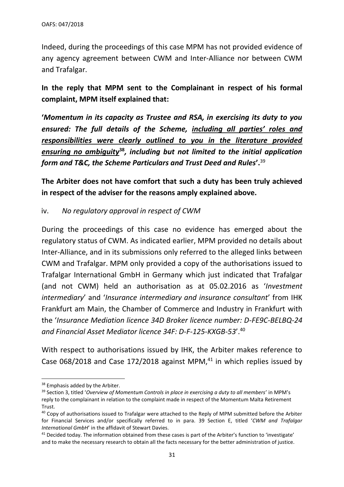Indeed, during the proceedings of this case MPM has not provided evidence of any agency agreement between CWM and Inter-Alliance nor between CWM and Trafalgar.

**In the reply that MPM sent to the Complainant in respect of his formal complaint, MPM itself explained that:**

**'***Momentum in its capacity as Trustee and RSA, in exercising its duty to you ensured: The full details of the Scheme, including all parties' roles and responsibilities were clearly outlined to you in the literature provided ensuring no ambiguity***<sup>38</sup>***, including but not limited to the initial application form and T&C, the Scheme Particulars and Trust Deed and Rules***'.**<sup>39</sup>

**The Arbiter does not have comfort that such a duty has been truly achieved in respect of the adviser for the reasons amply explained above.**

### iv. *No regulatory approval in respect of CWM*

During the proceedings of this case no evidence has emerged about the regulatory status of CWM. As indicated earlier, MPM provided no details about Inter-Alliance, and in its submissions only referred to the alleged links between CWM and Trafalgar. MPM only provided a copy of the authorisations issued to Trafalgar International GmbH in Germany which just indicated that Trafalgar (and not CWM) held an authorisation as at 05.02.2016 as '*Investment intermediary*' and '*Insurance intermediary and insurance consultant*' from IHK Frankfurt am Main, the Chamber of Commerce and Industry in Frankfurt with the '*Insurance Mediation licence 34D Broker licence number: D-FE9C-BELBQ-24 and Financial Asset Mediator licence 34F: D-F-125-KXGB-53*'.<sup>40</sup>

With respect to authorisations issued by IHK, the Arbiter makes reference to Case 068/2018 and Case 172/2018 against MPM, $41$  in which replies issued by

<sup>&</sup>lt;sup>38</sup> Emphasis added by the Arbiter.

<sup>39</sup> Section 3, titled '*Overview of Momentum Controls in place in exercising a duty to all members*' in MPM's reply to the complainant in relation to the complaint made in respect of the Momentum Malta Retirement Trust.

<sup>&</sup>lt;sup>40</sup> Copy of authorisations issued to Trafalgar were attached to the Reply of MPM submitted before the Arbiter for Financial Services and/or specifically referred to in para. 39 Section E, titled '*CWM and Trafalgar International GmbH*' in the affidavit of Stewart Davies.

<sup>41</sup> Decided today. The information obtained from these cases is part of the Arbiter's function to 'investigate' and to make the necessary research to obtain all the facts necessary for the better administration of justice.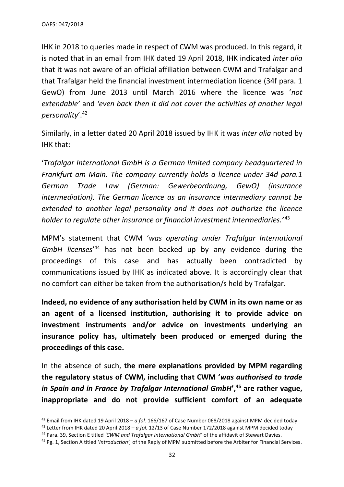IHK in 2018 to queries made in respect of CWM was produced. In this regard, it is noted that in an email from IHK dated 19 April 2018, IHK indicated *inter alia* that it was not aware of an official affiliation between CWM and Trafalgar and that Trafalgar held the financial investment intermediation licence (34f para. 1 GewO) from June 2013 until March 2016 where the licence was '*not extendable'* and *'even back then it did not cover the activities of another legal personality*'.<sup>42</sup>

Similarly, in a letter dated 20 April 2018 issued by IHK it was *inter alia* noted by IHK that:

'*Trafalgar International GmbH is a German limited company headquartered in Frankfurt am Main. The company currently holds a licence under 34d para.1 German Trade Law (German: Gewerbeordnung, GewO) (insurance intermediation). The German licence as an insurance intermediary cannot be extended to another legal personality and it does not authorize the licence holder to regulate other insurance or financial investment intermediaries.'* <sup>43</sup>

MPM's statement that CWM '*was operating under Trafalgar International GmbH licenses*' <sup>44</sup> has not been backed up by any evidence during the proceedings of this case and has actually been contradicted by communications issued by IHK as indicated above. It is accordingly clear that no comfort can either be taken from the authorisation/s held by Trafalgar.

**Indeed, no evidence of any authorisation held by CWM in its own name or as an agent of a licensed institution, authorising it to provide advice on investment instruments and/or advice on investments underlying an insurance policy has, ultimately been produced or emerged during the proceedings of this case.** 

In the absence of such, **the mere explanations provided by MPM regarding the regulatory status of CWM, including that CWM '***was authorised to trade in Spain and in France by Trafalgar International GmbH***', <sup>45</sup> are rather vague, inappropriate and do not provide sufficient comfort of an adequate** 

<sup>42</sup> Email from IHK dated 19 April 2018 – *a fol.* 166/167 of Case Number 068/2018 against MPM decided today

<sup>43</sup> Letter from IHK dated 20 April 2018 – *a fol.* 12/13 of Case Number 172/2018 against MPM decided today

<sup>44</sup> Para. 39, Section E titled *'CWM and Trafalgar International GmbH'* of the affidavit of Stewart Davies.

<sup>45</sup> Pg. 1, Section A titled '*Introduction',* of the Reply of MPM submitted before the Arbiter for Financial Services.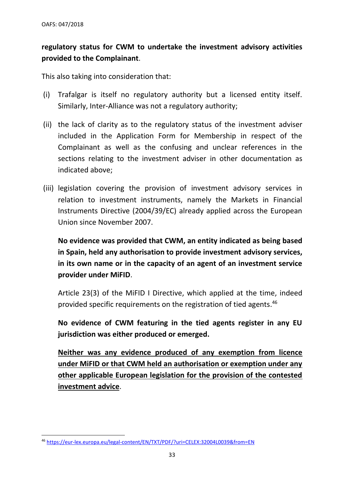# **regulatory status for CWM to undertake the investment advisory activities provided to the Complainant**.

This also taking into consideration that:

- (i) Trafalgar is itself no regulatory authority but a licensed entity itself. Similarly, Inter-Alliance was not a regulatory authority;
- (ii) the lack of clarity as to the regulatory status of the investment adviser included in the Application Form for Membership in respect of the Complainant as well as the confusing and unclear references in the sections relating to the investment adviser in other documentation as indicated above;
- (iii) legislation covering the provision of investment advisory services in relation to investment instruments, namely the Markets in Financial Instruments Directive (2004/39/EC) already applied across the European Union since November 2007.

**No evidence was provided that CWM, an entity indicated as being based in Spain, held any authorisation to provide investment advisory services, in its own name or in the capacity of an agent of an investment service provider under MiFID**.

Article 23(3) of the MiFID I Directive, which applied at the time, indeed provided specific requirements on the registration of tied agents.<sup>46</sup>

**No evidence of CWM featuring in the tied agents register in any EU jurisdiction was either produced or emerged.** 

**Neither was any evidence produced of any exemption from licence under MiFID or that CWM held an authorisation or exemption under any other applicable European legislation for the provision of the contested investment advice**.

<sup>46</sup> <https://eur-lex.europa.eu/legal-content/EN/TXT/PDF/?uri=CELEX:32004L0039&from=EN>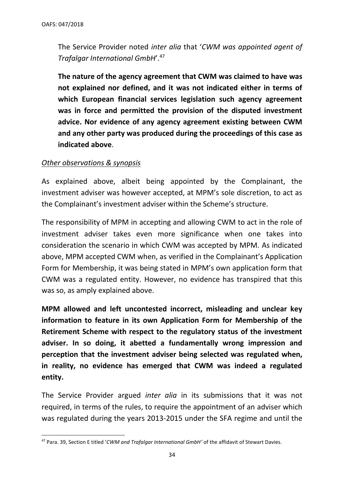The Service Provider noted *inter alia* that '*CWM was appointed agent of Trafalgar International GmbH*'.<sup>47</sup>

**The nature of the agency agreement that CWM was claimed to have was not explained nor defined, and it was not indicated either in terms of which European financial services legislation such agency agreement was in force and permitted the provision of the disputed investment advice. Nor evidence of any agency agreement existing between CWM and any other party was produced during the proceedings of this case as indicated above**.

#### *Other observations & synopsis*

As explained above, albeit being appointed by the Complainant, the investment adviser was however accepted, at MPM's sole discretion, to act as the Complainant's investment adviser within the Scheme's structure.

The responsibility of MPM in accepting and allowing CWM to act in the role of investment adviser takes even more significance when one takes into consideration the scenario in which CWM was accepted by MPM. As indicated above, MPM accepted CWM when, as verified in the Complainant's Application Form for Membership, it was being stated in MPM's own application form that CWM was a regulated entity. However, no evidence has transpired that this was so, as amply explained above.

**MPM allowed and left uncontested incorrect, misleading and unclear key information to feature in its own Application Form for Membership of the Retirement Scheme with respect to the regulatory status of the investment adviser. In so doing, it abetted a fundamentally wrong impression and perception that the investment adviser being selected was regulated when, in reality, no evidence has emerged that CWM was indeed a regulated entity.**

The Service Provider argued *inter alia* in its submissions that it was not required, in terms of the rules, to require the appointment of an adviser which was regulated during the years 2013-2015 under the SFA regime and until the

<sup>47</sup> Para. 39, Section E titled '*CWM and Trafalgar International GmbH'* of the affidavit of Stewart Davies.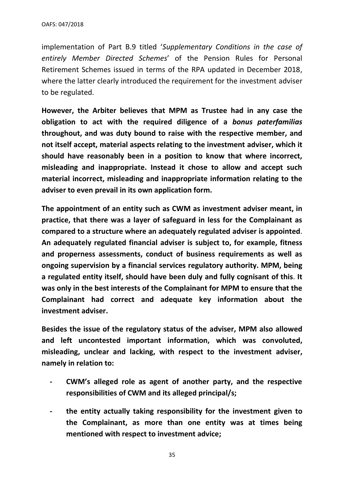implementation of Part B.9 titled '*Supplementary Conditions in the case of entirely Member Directed Schemes*' of the Pension Rules for Personal Retirement Schemes issued in terms of the RPA updated in December 2018, where the latter clearly introduced the requirement for the investment adviser to be regulated.

**However, the Arbiter believes that MPM as Trustee had in any case the obligation to act with the required diligence of a** *bonus paterfamilias*  **throughout, and was duty bound to raise with the respective member, and not itself accept, material aspects relating to the investment adviser, which it should have reasonably been in a position to know that where incorrect, misleading and inappropriate. Instead it chose to allow and accept such material incorrect, misleading and inappropriate information relating to the adviser to even prevail in its own application form.**

**The appointment of an entity such as CWM as investment adviser meant, in practice, that there was a layer of safeguard in less for the Complainant as compared to a structure where an adequately regulated adviser is appointed**. **An adequately regulated financial adviser is subject to, for example, fitness and properness assessments, conduct of business requirements as well as ongoing supervision by a financial services regulatory authority. MPM, being a regulated entity itself, should have been duly and fully cognisant of this**. **It was only in the best interests of the Complainant for MPM to ensure that the Complainant had correct and adequate key information about the investment adviser.**

**Besides the issue of the regulatory status of the adviser, MPM also allowed and left uncontested important information, which was convoluted, misleading, unclear and lacking, with respect to the investment adviser, namely in relation to:**

- **- CWM's alleged role as agent of another party, and the respective responsibilities of CWM and its alleged principal/s;**
- **- the entity actually taking responsibility for the investment given to the Complainant, as more than one entity was at times being mentioned with respect to investment advice;**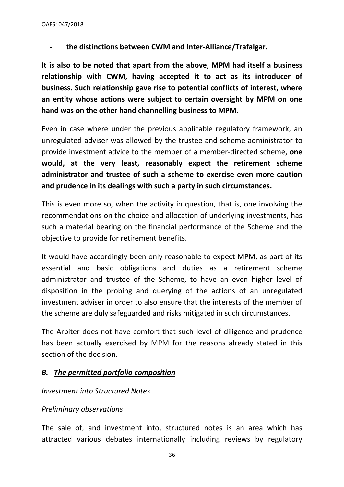**- the distinctions between CWM and Inter-Alliance/Trafalgar.**

**It is also to be noted that apart from the above, MPM had itself a business relationship with CWM, having accepted it to act as its introducer of business. Such relationship gave rise to potential conflicts of interest, where an entity whose actions were subject to certain oversight by MPM on one hand was on the other hand channelling business to MPM.** 

Even in case where under the previous applicable regulatory framework, an unregulated adviser was allowed by the trustee and scheme administrator to provide investment advice to the member of a member-directed scheme, **one would, at the very least, reasonably expect the retirement scheme administrator and trustee of such a scheme to exercise even more caution and prudence in its dealings with such a party in such circumstances.** 

This is even more so, when the activity in question, that is, one involving the recommendations on the choice and allocation of underlying investments, has such a material bearing on the financial performance of the Scheme and the objective to provide for retirement benefits.

It would have accordingly been only reasonable to expect MPM, as part of its essential and basic obligations and duties as a retirement scheme administrator and trustee of the Scheme, to have an even higher level of disposition in the probing and querying of the actions of an unregulated investment adviser in order to also ensure that the interests of the member of the scheme are duly safeguarded and risks mitigated in such circumstances.

The Arbiter does not have comfort that such level of diligence and prudence has been actually exercised by MPM for the reasons already stated in this section of the decision.

### *B. The permitted portfolio composition*

### *Investment into Structured Notes*

### *Preliminary observations*

The sale of, and investment into, structured notes is an area which has attracted various debates internationally including reviews by regulatory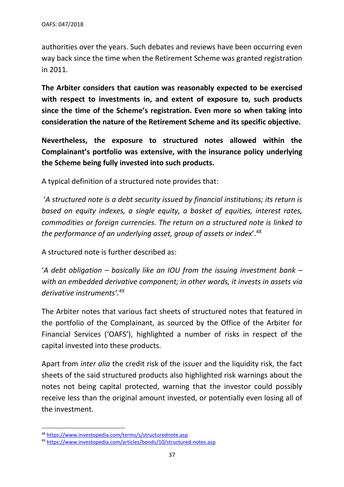authorities over the years. Such debates and reviews have been occurring even way back since the time when the Retirement Scheme was granted registration in 2011.

**The Arbiter considers that caution was reasonably expected to be exercised with respect to investments in, and extent of exposure to, such products since the time of the Scheme's registration. Even more so when taking into consideration the nature of the Retirement Scheme and its specific objective.**

**Nevertheless, the exposure to structured notes allowed within the Complainant's portfolio was extensive, with the insurance policy underlying the Scheme being fully invested into such products.**

A typical definition of a structured note provides that:

'*A structured note is a [debt security](https://www.investopedia.com/terms/d/debtsecurity.asp) issued by financial institutions; its return is based on equity indexes, a single equity, a basket of equities, interest rates, commodities or foreign currencies. The return on a structured note is linked to the performance of an [underlying asset,](https://www.investopedia.com/terms/u/underlying-asset.asp) group of assets or index*'. 48

A structured note is further described as:

'*A [debt obligation](https://www.investopedia.com/terms/c/cdo.asp) – basically like an [IOU](https://www.investopedia.com/terms/i/iou.asp) from the issuing [investment bank](https://www.investopedia.com/terms/i/investmentbank.asp) – with an embedded [derivative](https://www.investopedia.com/terms/d/derivative.asp) component; in other words, it invests in [assets](https://www.investopedia.com/terms/a/asset.asp) via derivative instruments'*. 49

The Arbiter notes that various fact sheets of structured notes that featured in the portfolio of the Complainant, as sourced by the Office of the Arbiter for Financial Services ('OAFS'), highlighted a number of risks in respect of the capital invested into these products.

Apart from *inter alia* the credit risk of the issuer and the liquidity risk, the fact sheets of the said structured products also highlighted risk warnings about the notes not being capital protected, warning that the investor could possibly receive less than the original amount invested, or potentially even losing all of the investment.

<sup>48</sup> <https://www.investopedia.com/terms/s/structurednote.asp>

<sup>49</sup> <https://www.investopedia.com/articles/bonds/10/structured-notes.asp>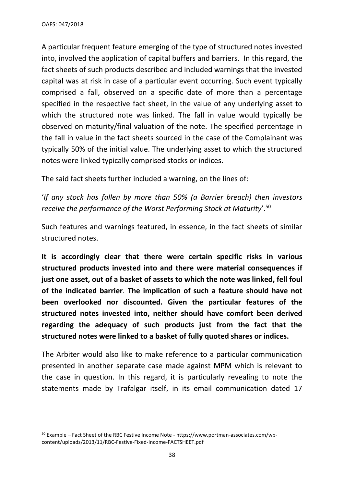A particular frequent feature emerging of the type of structured notes invested into, involved the application of capital buffers and barriers. In this regard, the fact sheets of such products described and included warnings that the invested capital was at risk in case of a particular event occurring. Such event typically comprised a fall, observed on a specific date of more than a percentage specified in the respective fact sheet, in the value of any underlying asset to which the structured note was linked. The fall in value would typically be observed on maturity/final valuation of the note. The specified percentage in the fall in value in the fact sheets sourced in the case of the Complainant was typically 50% of the initial value. The underlying asset to which the structured notes were linked typically comprised stocks or indices.

The said fact sheets further included a warning, on the lines of:

'*If any stock has fallen by more than 50% (a Barrier breach) then investors receive the performance of the Worst Performing Stock at Maturity*'.<sup>50</sup>

Such features and warnings featured, in essence, in the fact sheets of similar structured notes.

**It is accordingly clear that there were certain specific risks in various structured products invested into and there were material consequences if just one asset, out of a basket of assets to which the note was linked, fell foul of the indicated barrier**. **The implication of such a feature should have not been overlooked nor discounted. Given the particular features of the structured notes invested into, neither should have comfort been derived regarding the adequacy of such products just from the fact that the structured notes were linked to a basket of fully quoted shares or indices.**

The Arbiter would also like to make reference to a particular communication presented in another separate case made against MPM which is relevant to the case in question. In this regard, it is particularly revealing to note the statements made by Trafalgar itself, in its email communication dated 17

<sup>&</sup>lt;sup>50</sup> Example – Fact Sheet of the RBC Festive Income Note - https://www.portman-associates.com/wpcontent/uploads/2013/11/RBC-Festive-Fixed-Income-FACTSHEET.pdf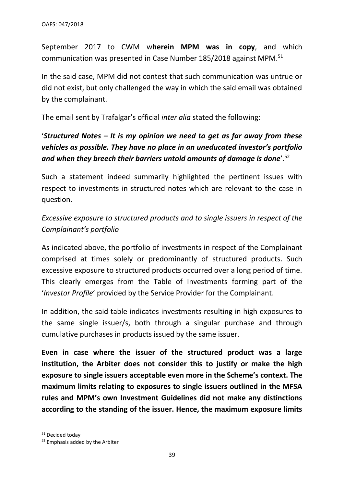September 2017 to CWM w**herein MPM was in copy**, and which communication was presented in Case Number 185/2018 against MPM.<sup>51</sup>

In the said case, MPM did not contest that such communication was untrue or did not exist, but only challenged the way in which the said email was obtained by the complainant.

The email sent by Trafalgar's official *inter alia* stated the following:

# '*Structured Notes – It is my opinion we need to get as far away from these vehicles as possible. They have no place in an uneducated investor's portfolio and when they breech their barriers untold amounts of damage is done*'.<sup>52</sup>

Such a statement indeed summarily highlighted the pertinent issues with respect to investments in structured notes which are relevant to the case in question.

# *Excessive exposure to structured products and to single issuers in respect of the Complainant's portfolio*

As indicated above, the portfolio of investments in respect of the Complainant comprised at times solely or predominantly of structured products. Such excessive exposure to structured products occurred over a long period of time. This clearly emerges from the Table of Investments forming part of the '*Investor Profile*' provided by the Service Provider for the Complainant.

In addition, the said table indicates investments resulting in high exposures to the same single issuer/s, both through a singular purchase and through cumulative purchases in products issued by the same issuer.

**Even in case where the issuer of the structured product was a large institution, the Arbiter does not consider this to justify or make the high exposure to single issuers acceptable even more in the Scheme's context. The maximum limits relating to exposures to single issuers outlined in the MFSA rules and MPM's own Investment Guidelines did not make any distinctions according to the standing of the issuer. Hence, the maximum exposure limits** 

<sup>51</sup> Decided today

<sup>52</sup> Emphasis added by the Arbiter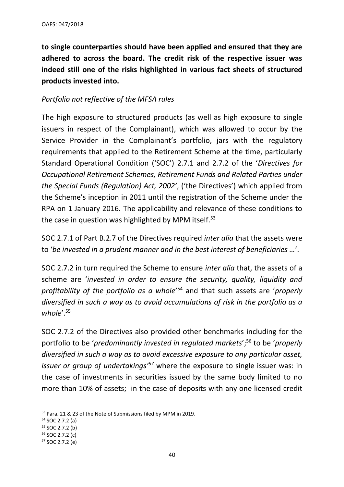**to single counterparties should have been applied and ensured that they are adhered to across the board. The credit risk of the respective issuer was indeed still one of the risks highlighted in various fact sheets of structured products invested into.**

## *Portfolio not reflective of the MFSA rules*

The high exposure to structured products (as well as high exposure to single issuers in respect of the Complainant), which was allowed to occur by the Service Provider in the Complainant's portfolio, jars with the regulatory requirements that applied to the Retirement Scheme at the time, particularly Standard Operational Condition ('SOC') 2.7.1 and 2.7.2 of the '*Directives for Occupational Retirement Schemes, Retirement Funds and Related Parties under the Special Funds (Regulation) Act, 2002'*, ('the Directives') which applied from the Scheme's inception in 2011 until the registration of the Scheme under the RPA on 1 January 2016*.* The applicability and relevance of these conditions to the case in question was highlighted by MPM itself. $53$ 

SOC 2.7.1 of Part B.2.7 of the Directives required *inter alia* that the assets were to '*be invested in a prudent manner and in the best interest of beneficiaries …*'.

SOC 2.7.2 in turn required the Scheme to ensure *inter alia* that, the assets of a scheme are '*invested in order to ensure the security, quality, liquidity and profitability of the portfolio as a whole*' <sup>54</sup> and that such assets are '*properly diversified in such a way as to avoid accumulations of risk in the portfolio as a whole*'.<sup>55</sup>

SOC 2.7.2 of the Directives also provided other benchmarks including for the portfolio to be '*predominantly invested in regulated markets*'; <sup>56</sup> to be '*properly diversified in such a way as to avoid excessive exposure to any particular asset, issuer or group of undertakings'<sup>57</sup>* where the exposure to single issuer was: in the case of investments in securities issued by the same body limited to no more than 10% of assets; in the case of deposits with any one licensed credit

<sup>53</sup> Para. 21 & 23 of the Note of Submissions filed by MPM in 2019.

<sup>54</sup> SOC 2.7.2 (a)

<sup>55</sup> SOC 2.7.2 (b)

<sup>56</sup> SOC 2.7.2 (c)

<sup>57</sup> SOC 2.7.2 (e)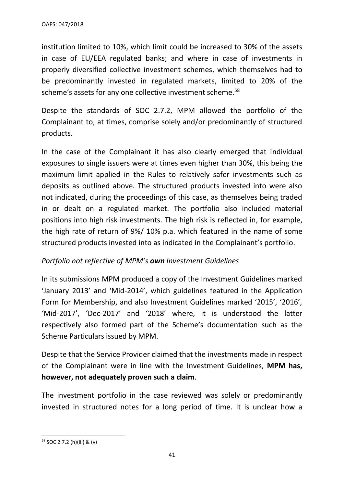institution limited to 10%, which limit could be increased to 30% of the assets in case of EU/EEA regulated banks; and where in case of investments in properly diversified collective investment schemes, which themselves had to be predominantly invested in regulated markets, limited to 20% of the scheme's assets for any one collective investment scheme.<sup>58</sup>

Despite the standards of SOC 2.7.2, MPM allowed the portfolio of the Complainant to, at times, comprise solely and/or predominantly of structured products.

In the case of the Complainant it has also clearly emerged that individual exposures to single issuers were at times even higher than 30%, this being the maximum limit applied in the Rules to relatively safer investments such as deposits as outlined above. The structured products invested into were also not indicated, during the proceedings of this case, as themselves being traded in or dealt on a regulated market. The portfolio also included material positions into high risk investments. The high risk is reflected in, for example, the high rate of return of 9%/ 10% p.a. which featured in the name of some structured products invested into as indicated in the Complainant's portfolio.

### *Portfolio not reflective of MPM's own Investment Guidelines*

In its submissions MPM produced a copy of the Investment Guidelines marked 'January 2013' and 'Mid-2014', which guidelines featured in the Application Form for Membership, and also Investment Guidelines marked '2015', '2016', 'Mid-2017', 'Dec-2017' and '2018' where, it is understood the latter respectively also formed part of the Scheme's documentation such as the Scheme Particulars issued by MPM.

Despite that the Service Provider claimed that the investments made in respect of the Complainant were in line with the Investment Guidelines, **MPM has, however, not adequately proven such a claim**.

The investment portfolio in the case reviewed was solely or predominantly invested in structured notes for a long period of time. It is unclear how a

<sup>58</sup> SOC 2.7.2 (h)(iii) & (v)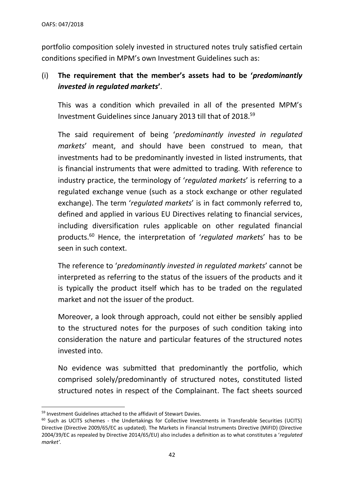portfolio composition solely invested in structured notes truly satisfied certain conditions specified in MPM's own Investment Guidelines such as:

# (i) **The requirement that the member's assets had to be '***predominantly invested in regulated markets***'**.

This was a condition which prevailed in all of the presented MPM's Investment Guidelines since January 2013 till that of 2018. 59

The said requirement of being '*predominantly invested in regulated markets*' meant, and should have been construed to mean, that investments had to be predominantly invested in listed instruments, that is financial instruments that were admitted to trading. With reference to industry practice, the terminology of '*regulated markets*' is referring to a regulated exchange venue (such as a stock exchange or other regulated exchange). The term '*regulated markets*' is in fact commonly referred to, defined and applied in various EU Directives relating to financial services, including diversification rules applicable on other regulated financial products.<sup>60</sup> Hence, the interpretation of '*regulated market*s' has to be seen in such context.

The reference to '*predominantly invested in regulated markets*' cannot be interpreted as referring to the status of the issuers of the products and it is typically the product itself which has to be traded on the regulated market and not the issuer of the product.

Moreover, a look through approach, could not either be sensibly applied to the structured notes for the purposes of such condition taking into consideration the nature and particular features of the structured notes invested into.

No evidence was submitted that predominantly the portfolio, which comprised solely/predominantly of structured notes, constituted listed structured notes in respect of the Complainant. The fact sheets sourced

<sup>&</sup>lt;sup>59</sup> Investment Guidelines attached to the affidavit of Stewart Davies.

<sup>&</sup>lt;sup>60</sup> Such as UCITS schemes - the Undertakings for Collective Investments in Transferable Securities (UCITS) Directive (Directive 2009/65/EC as updated). The Markets in Financial Instruments Directive (MiFID) (Directive 2004/39/EC as repealed by Directive 2014/65/EU) also includes a definition as to what constitutes a '*regulated market'.*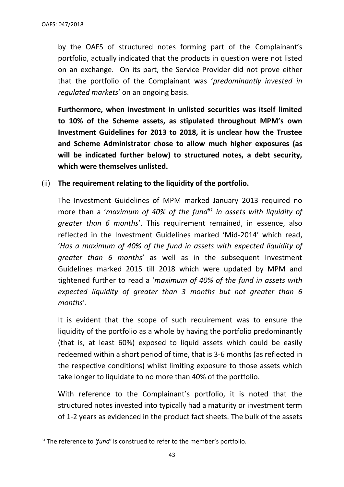by the OAFS of structured notes forming part of the Complainant's portfolio, actually indicated that the products in question were not listed on an exchange. On its part, the Service Provider did not prove either that the portfolio of the Complainant was '*predominantly invested in regulated markets*' on an ongoing basis.

**Furthermore, when investment in unlisted securities was itself limited to 10% of the Scheme assets, as stipulated throughout MPM's own Investment Guidelines for 2013 to 2018, it is unclear how the Trustee and Scheme Administrator chose to allow much higher exposures (as will be indicated further below) to structured notes, a debt security, which were themselves unlisted.** 

#### (ii) **The requirement relating to the liquidity of the portfolio.**

The Investment Guidelines of MPM marked January 2013 required no more than a '*maximum of 40% of the fund<sup>61</sup> in assets with liquidity of greater than 6 months*'. This requirement remained, in essence, also reflected in the Investment Guidelines marked 'Mid-2014' which read, '*Has a maximum of 40% of the fund in assets with expected liquidity of greater than 6 months*' as well as in the subsequent Investment Guidelines marked 2015 till 2018 which were updated by MPM and tightened further to read a '*maximum of 40% of the fund in assets with expected liquidity of greater than 3 months but not greater than 6 months*'.

It is evident that the scope of such requirement was to ensure the liquidity of the portfolio as a whole by having the portfolio predominantly (that is, at least 60%) exposed to liquid assets which could be easily redeemed within a short period of time, that is 3-6 months (as reflected in the respective conditions) whilst limiting exposure to those assets which take longer to liquidate to no more than 40% of the portfolio.

With reference to the Complainant's portfolio, it is noted that the structured notes invested into typically had a maturity or investment term of 1-2 years as evidenced in the product fact sheets. The bulk of the assets

<sup>61</sup> The reference to *'fund'* is construed to refer to the member's portfolio.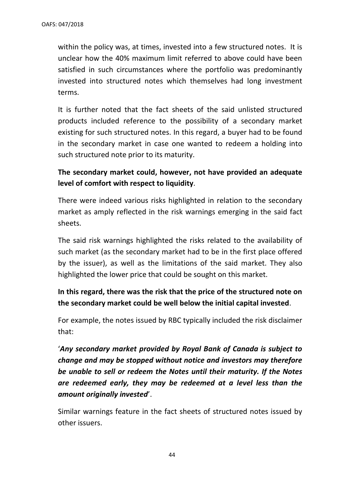within the policy was, at times, invested into a few structured notes. It is unclear how the 40% maximum limit referred to above could have been satisfied in such circumstances where the portfolio was predominantly invested into structured notes which themselves had long investment terms.

It is further noted that the fact sheets of the said unlisted structured products included reference to the possibility of a secondary market existing for such structured notes. In this regard, a buyer had to be found in the secondary market in case one wanted to redeem a holding into such structured note prior to its maturity.

# **The secondary market could, however, not have provided an adequate level of comfort with respect to liquidity**.

There were indeed various risks highlighted in relation to the secondary market as amply reflected in the risk warnings emerging in the said fact sheets.

The said risk warnings highlighted the risks related to the availability of such market (as the secondary market had to be in the first place offered by the issuer), as well as the limitations of the said market. They also highlighted the lower price that could be sought on this market.

# **In this regard, there was the risk that the price of the structured note on the secondary market could be well below the initial capital invested**.

For example, the notes issued by RBC typically included the risk disclaimer that:

'*Any secondary market provided by Royal Bank of Canada is subject to change and may be stopped without notice and investors may therefore be unable to sell or redeem the Notes until their maturity. If the Notes are redeemed early, they may be redeemed at a level less than the amount originally invested*'.

Similar warnings feature in the fact sheets of structured notes issued by other issuers.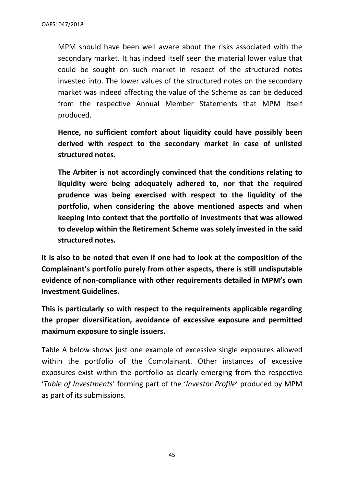MPM should have been well aware about the risks associated with the secondary market. It has indeed itself seen the material lower value that could be sought on such market in respect of the structured notes invested into. The lower values of the structured notes on the secondary market was indeed affecting the value of the Scheme as can be deduced from the respective Annual Member Statements that MPM itself produced.

**Hence, no sufficient comfort about liquidity could have possibly been derived with respect to the secondary market in case of unlisted structured notes.** 

**The Arbiter is not accordingly convinced that the conditions relating to liquidity were being adequately adhered to, nor that the required prudence was being exercised with respect to the liquidity of the portfolio, when considering the above mentioned aspects and when keeping into context that the portfolio of investments that was allowed to develop within the Retirement Scheme was solely invested in the said structured notes.**

**It is also to be noted that even if one had to look at the composition of the Complainant's portfolio purely from other aspects, there is still undisputable evidence of non-compliance with other requirements detailed in MPM's own Investment Guidelines.**

**This is particularly so with respect to the requirements applicable regarding the proper diversification, avoidance of excessive exposure and permitted maximum exposure to single issuers.** 

Table A below shows just one example of excessive single exposures allowed within the portfolio of the Complainant. Other instances of excessive exposures exist within the portfolio as clearly emerging from the respective '*Table of Investments*' forming part of the '*Investor Profile*' produced by MPM as part of its submissions.

45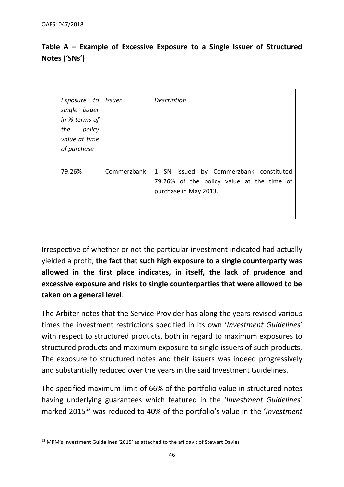| Exposure to Issuer<br>single issuer<br>in % terms of<br>policy<br>the<br>value at time<br>of purchase |             | Description                                                                                                  |
|-------------------------------------------------------------------------------------------------------|-------------|--------------------------------------------------------------------------------------------------------------|
| 79.26%                                                                                                | Commerzbank | 1 SN issued by Commerzbank constituted<br>79.26% of the policy value at the time of<br>purchase in May 2013. |

# **Table A – Example of Excessive Exposure to a Single Issuer of Structured Notes ('SNs')**

Irrespective of whether or not the particular investment indicated had actually yielded a profit, **the fact that such high exposure to a single counterparty was allowed in the first place indicates, in itself, the lack of prudence and excessive exposure and risks to single counterparties that were allowed to be taken on a general level**.

The Arbiter notes that the Service Provider has along the years revised various times the investment restrictions specified in its own '*Investment Guidelines*' with respect to structured products, both in regard to maximum exposures to structured products and maximum exposure to single issuers of such products. The exposure to structured notes and their issuers was indeed progressively and substantially reduced over the years in the said Investment Guidelines.

The specified maximum limit of 66% of the portfolio value in structured notes having underlying guarantees which featured in the '*Investment Guidelines*' marked 2015<sup>62</sup> was reduced to 40% of the portfolio's value in the '*Investment* 

<sup>62</sup> MPM's Investment Guidelines '2015' as attached to the affidavit of Stewart Davies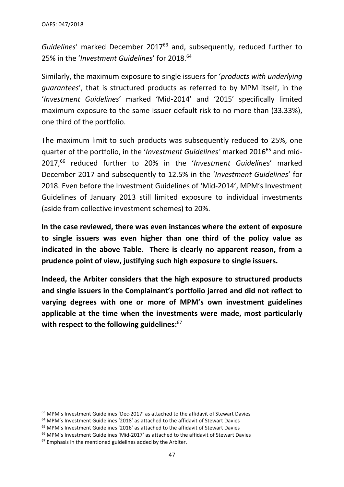*Guidelines*' marked December 2017<sup>63</sup> and, subsequently, reduced further to 25% in the '*Investment Guidelines*' for 2018. 64

Similarly, the maximum exposure to single issuers for '*products with underlying guarantees*', that is structured products as referred to by MPM itself, in the '*Investment Guidelines*' marked 'Mid-2014' and '2015' specifically limited maximum exposure to the same issuer default risk to no more than (33.33%), one third of the portfolio.

The maximum limit to such products was subsequently reduced to 25%, one quarter of the portfolio, in the '*Investment Guidelines'* marked 2016<sup>65</sup> and mid-2017, <sup>66</sup> reduced further to 20% in the '*Investment Guidelines*' marked December 2017 and subsequently to 12.5% in the '*Investment Guidelines*' for 2018. Even before the Investment Guidelines of 'Mid-2014', MPM's Investment Guidelines of January 2013 still limited exposure to individual investments (aside from collective investment schemes) to 20%.

**In the case reviewed, there was even instances where the extent of exposure to single issuers was even higher than one third of the policy value as indicated in the above Table. There is clearly no apparent reason, from a prudence point of view, justifying such high exposure to single issuers.** 

**Indeed, the Arbiter considers that the high exposure to structured products and single issuers in the Complainant's portfolio jarred and did not reflect to varying degrees with one or more of MPM's own investment guidelines applicable at the time when the investments were made, most particularly with respect to the following guidelines:** 67

 $63$  MPM's Investment Guidelines 'Dec-2017' as attached to the affidavit of Stewart Davies

<sup>64</sup> MPM's Investment Guidelines '2018' as attached to the affidavit of Stewart Davies

<sup>65</sup> MPM's Investment Guidelines '2016' as attached to the affidavit of Stewart Davies

<sup>&</sup>lt;sup>66</sup> MPM's Investment Guidelines 'Mid-2017' as attached to the affidavit of Stewart Davies

<sup>&</sup>lt;sup>67</sup> Emphasis in the mentioned guidelines added by the Arbiter.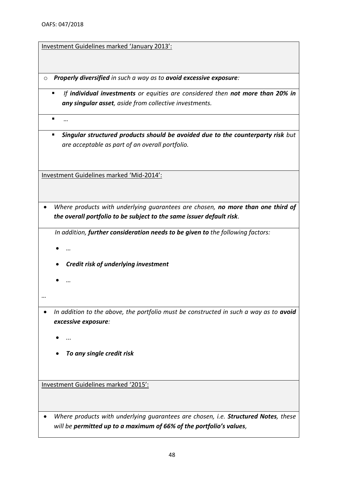Investment Guidelines marked 'January 2013':

- o *Properly diversified in such a way as to avoid excessive exposure:*
	- *If individual investments or equities are considered then not more than 20% in any singular asset, aside from collective investments.*

▪ *…*

▪ *Singular structured products should be avoided due to the counterparty risk but are acceptable as part of an overall portfolio.*

Investment Guidelines marked 'Mid-2014':

• *Where products with underlying guarantees are chosen, no more than one third of the overall portfolio to be subject to the same issuer default risk.* 

*In addition, further consideration needs to be given to the following factors:*

- *…*
- *Credit risk of underlying investment*
- *…*
- *…*
- In addition to the above, the portfolio must be constructed in such a way as to **avoid** *excessive exposure:* 
	- *...*
	- *To any single credit risk*

Investment Guidelines marked '2015':

• *Where products with underlying guarantees are chosen, i.e. Structured Notes, these will be permitted up to a maximum of 66% of the portfolio's values,*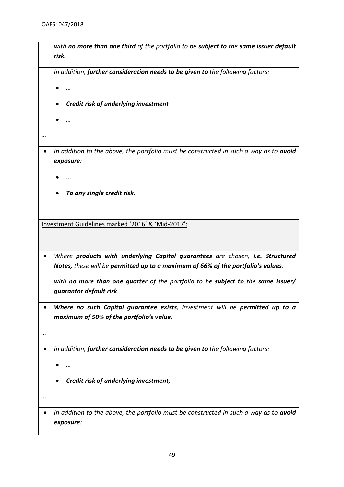|           | risk.                                                                                                                                                                                                                                                                                      |
|-----------|--------------------------------------------------------------------------------------------------------------------------------------------------------------------------------------------------------------------------------------------------------------------------------------------|
|           | In addition, further consideration needs to be given to the following factors:                                                                                                                                                                                                             |
|           |                                                                                                                                                                                                                                                                                            |
|           | Credit risk of underlying investment                                                                                                                                                                                                                                                       |
|           |                                                                                                                                                                                                                                                                                            |
|           |                                                                                                                                                                                                                                                                                            |
|           |                                                                                                                                                                                                                                                                                            |
|           | In addition to the above, the portfolio must be constructed in such a way as to avoid<br>exposure:                                                                                                                                                                                         |
|           |                                                                                                                                                                                                                                                                                            |
|           | To any single credit risk.                                                                                                                                                                                                                                                                 |
|           |                                                                                                                                                                                                                                                                                            |
|           | Notes, these will be permitted up to a maximum of 66% of the portfolio's values,                                                                                                                                                                                                           |
|           | guarantor default risk.                                                                                                                                                                                                                                                                    |
|           | maximum of 50% of the portfolio's value.                                                                                                                                                                                                                                                   |
|           |                                                                                                                                                                                                                                                                                            |
|           | In addition, further consideration needs to be given to the following factors:                                                                                                                                                                                                             |
|           |                                                                                                                                                                                                                                                                                            |
|           |                                                                                                                                                                                                                                                                                            |
| $\bullet$ | Where products with underlying Capital guarantees are chosen, i.e. Structured<br>with no more than one quarter of the portfolio to be subject to the same issuer/<br>Where no such Capital guarantee exists, investment will be permitted up to a<br>Credit risk of underlying investment; |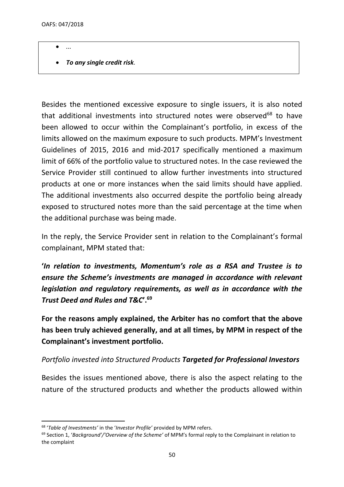- *...*
- *To any single credit risk.*

Besides the mentioned excessive exposure to single issuers, it is also noted that additional investments into structured notes were observed<sup>68</sup> to have been allowed to occur within the Complainant's portfolio, in excess of the limits allowed on the maximum exposure to such products. MPM's Investment Guidelines of 2015, 2016 and mid-2017 specifically mentioned a maximum limit of 66% of the portfolio value to structured notes. In the case reviewed the Service Provider still continued to allow further investments into structured products at one or more instances when the said limits should have applied. The additional investments also occurred despite the portfolio being already exposed to structured notes more than the said percentage at the time when the additional purchase was being made.

In the reply, the Service Provider sent in relation to the Complainant's formal complainant, MPM stated that:

**'***In relation to investments, Momentum's role as a RSA and Trustee is to ensure the Scheme's investments are managed in accordance with relevant legislation and regulatory requirements, as well as in accordance with the Trust Deed and Rules and T&C***'.<sup>69</sup>**

**For the reasons amply explained, the Arbiter has no comfort that the above has been truly achieved generally, and at all times, by MPM in respect of the Complainant's investment portfolio.**

### *Portfolio invested into Structured Products Targeted for Professional Investors*

Besides the issues mentioned above, there is also the aspect relating to the nature of the structured products and whether the products allowed within

<sup>68</sup> '*Table of Investments'* in the '*Investor Profile'* provided by MPM refers.

<sup>69</sup> Section 1, '*Background'/'Overview of the Scheme'* of MPM's formal reply to the Complainant in relation to the complaint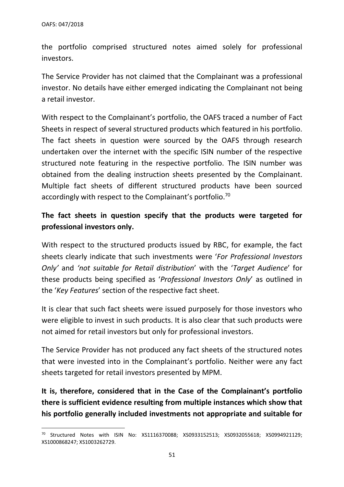the portfolio comprised structured notes aimed solely for professional investors.

The Service Provider has not claimed that the Complainant was a professional investor. No details have either emerged indicating the Complainant not being a retail investor.

With respect to the Complainant's portfolio, the OAFS traced a number of Fact Sheets in respect of several structured products which featured in his portfolio. The fact sheets in question were sourced by the OAFS through research undertaken over the internet with the specific ISIN number of the respective structured note featuring in the respective portfolio. The ISIN number was obtained from the dealing instruction sheets presented by the Complainant. Multiple fact sheets of different structured products have been sourced accordingly with respect to the Complainant's portfolio.<sup>70</sup>

## **The fact sheets in question specify that the products were targeted for professional investors only.**

With respect to the structured products issued by RBC, for example, the fact sheets clearly indicate that such investments were '*For Professional Investors Only'* and *'not suitable for Retail distribution*' with the '*Target Audience*' for these products being specified as '*Professional Investors Only*' as outlined in the '*Key Features*' section of the respective fact sheet.

It is clear that such fact sheets were issued purposely for those investors who were eligible to invest in such products. It is also clear that such products were not aimed for retail investors but only for professional investors.

The Service Provider has not produced any fact sheets of the structured notes that were invested into in the Complainant's portfolio. Neither were any fact sheets targeted for retail investors presented by MPM.

**It is, therefore, considered that in the Case of the Complainant's portfolio there is sufficient evidence resulting from multiple instances which show that his portfolio generally included investments not appropriate and suitable for** 

<sup>70</sup> Structured Notes with ISIN No: XS1116370088; XS0933152513; XS0932055618; XS0994921129; XS1000868247; XS1003262729.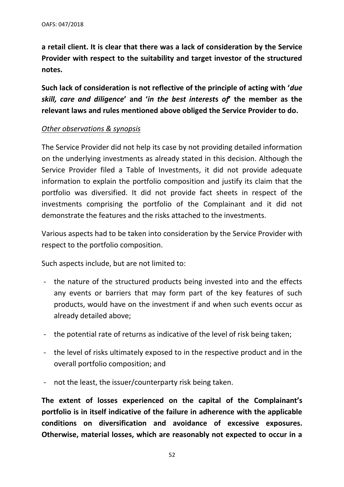**a retail client. It is clear that there was a lack of consideration by the Service Provider with respect to the suitability and target investor of the structured notes.** 

**Such lack of consideration is not reflective of the principle of acting with '***due skill, care and diligence***' and '***in the best interest***s** *of***' the member as the relevant laws and rules mentioned above obliged the Service Provider to do.**

#### *Other observations & synopsis*

The Service Provider did not help its case by not providing detailed information on the underlying investments as already stated in this decision. Although the Service Provider filed a Table of Investments, it did not provide adequate information to explain the portfolio composition and justify its claim that the portfolio was diversified. It did not provide fact sheets in respect of the investments comprising the portfolio of the Complainant and it did not demonstrate the features and the risks attached to the investments.

Various aspects had to be taken into consideration by the Service Provider with respect to the portfolio composition.

Such aspects include, but are not limited to:

- the nature of the structured products being invested into and the effects any events or barriers that may form part of the key features of such products, would have on the investment if and when such events occur as already detailed above;
- the potential rate of returns as indicative of the level of risk being taken;
- the level of risks ultimately exposed to in the respective product and in the overall portfolio composition; and
- not the least, the issuer/counterparty risk being taken.

**The extent of losses experienced on the capital of the Complainant's portfolio is in itself indicative of the failure in adherence with the applicable conditions on diversification and avoidance of excessive exposures. Otherwise, material losses, which are reasonably not expected to occur in a**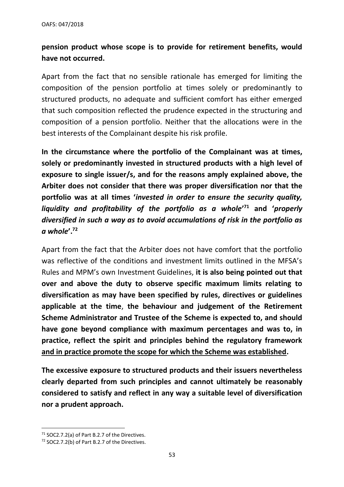# **pension product whose scope is to provide for retirement benefits, would have not occurred.**

Apart from the fact that no sensible rationale has emerged for limiting the composition of the pension portfolio at times solely or predominantly to structured products, no adequate and sufficient comfort has either emerged that such composition reflected the prudence expected in the structuring and composition of a pension portfolio. Neither that the allocations were in the best interests of the Complainant despite his risk profile.

**In the circumstance where the portfolio of the Complainant was at times, solely or predominantly invested in structured products with a high level of exposure to single issuer/s, and for the reasons amply explained above, the Arbiter does not consider that there was proper diversification nor that the portfolio was at all times '***invested in order to ensure the security quality, liquidity and profitability of the portfolio as a whole***' <sup>71</sup> and '***properly diversified in such a way as to avoid accumulations of risk in the portfolio as a whole***'.<sup>72</sup>**

Apart from the fact that the Arbiter does not have comfort that the portfolio was reflective of the conditions and investment limits outlined in the MFSA's Rules and MPM's own Investment Guidelines, **it is also being pointed out that over and above the duty to observe specific maximum limits relating to diversification as may have been specified by rules, directives or guidelines applicable at the time**, **the behaviour and judgement of the Retirement Scheme Administrator and Trustee of the Scheme is expected to, and should have gone beyond compliance with maximum percentages and was to, in practice, reflect the spirit and principles behind the regulatory framework and in practice promote the scope for which the Scheme was established.** 

**The excessive exposure to structured products and their issuers nevertheless clearly departed from such principles and cannot ultimately be reasonably considered to satisfy and reflect in any way a suitable level of diversification nor a prudent approach.** 

<sup>71</sup> SOC2.7.2(a) of Part B.2.7 of the Directives.

<sup>72</sup> SOC2.7.2(b) of Part B.2.7 of the Directives.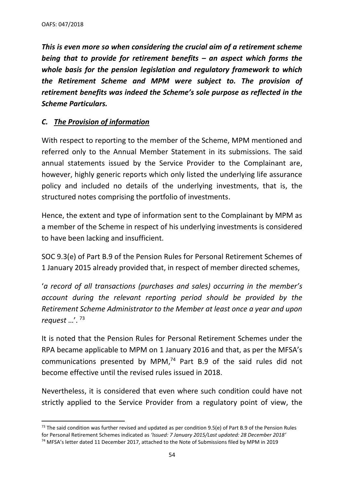*This is even more so when considering the crucial aim of a retirement scheme being that to provide for retirement benefits – an aspect which forms the whole basis for the pension legislation and regulatory framework to which the Retirement Scheme and MPM were subject to. The provision of retirement benefits was indeed the Scheme's sole purpose as reflected in the Scheme Particulars.* 

### *C. The Provision of information*

With respect to reporting to the member of the Scheme, MPM mentioned and referred only to the Annual Member Statement in its submissions. The said annual statements issued by the Service Provider to the Complainant are, however, highly generic reports which only listed the underlying life assurance policy and included no details of the underlying investments, that is, the structured notes comprising the portfolio of investments.

Hence, the extent and type of information sent to the Complainant by MPM as a member of the Scheme in respect of his underlying investments is considered to have been lacking and insufficient.

SOC 9.3(e) of Part B.9 of the Pension Rules for Personal Retirement Schemes of 1 January 2015 already provided that, in respect of member directed schemes,

'*a record of all transactions (purchases and sales) occurring in the member's account during the relevant reporting period should be provided by the Retirement Scheme Administrator to the Member at least once a year and upon request* …'. <sup>73</sup>

It is noted that the Pension Rules for Personal Retirement Schemes under the RPA became applicable to MPM on 1 January 2016 and that, as per the MFSA's communications presented by MPM, $74$  Part B.9 of the said rules did not become effective until the revised rules issued in 2018.

Nevertheless, it is considered that even where such condition could have not strictly applied to the Service Provider from a regulatory point of view, the

<sup>&</sup>lt;sup>73</sup> The said condition was further revised and updated as per condition 9.5(e) of Part B.9 of the Pension Rules for Personal Retirement Schemes indicated as *'Issued: 7 January 2015/Last updated: 28 December 2018'*

<sup>&</sup>lt;sup>74</sup> MFSA's letter dated 11 December 2017, attached to the Note of Submissions filed by MPM in 2019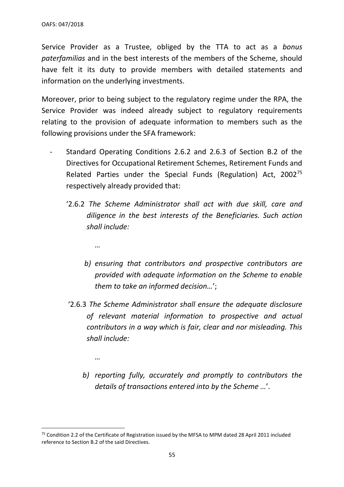Service Provider as a Trustee, obliged by the TTA to act as a *bonus paterfamilias* and in the best interests of the members of the Scheme, should have felt it its duty to provide members with detailed statements and information on the underlying investments.

Moreover, prior to being subject to the regulatory regime under the RPA, the Service Provider was indeed already subject to regulatory requirements relating to the provision of adequate information to members such as the following provisions under the SFA framework:

- Standard Operating Conditions 2.6.2 and 2.6.3 of Section B.2 of the Directives for Occupational Retirement Schemes, Retirement Funds and Related Parties under the Special Funds (Regulation) Act, 2002<sup>75</sup> respectively already provided that:
	- '2.6.2 *The Scheme Administrator shall act with due skill, care and diligence in the best interests of the Beneficiaries. Such action shall include:*
		- *…*

*…*

- *b) ensuring that contributors and prospective contributors are provided with adequate information on the Scheme to enable them to take an informed decision…*';
- '2.6.3 *The Scheme Administrator shall ensure the adequate disclosure of relevant material information to prospective and actual contributors in a way which is fair, clear and nor misleading. This shall include:*
	- *b) reporting fully, accurately and promptly to contributors the details of transactions entered into by the Scheme …*'.

<sup>&</sup>lt;sup>75</sup> Condition 2.2 of the Certificate of Registration issued by the MFSA to MPM dated 28 April 2011 included reference to Section B.2 of the said Directives.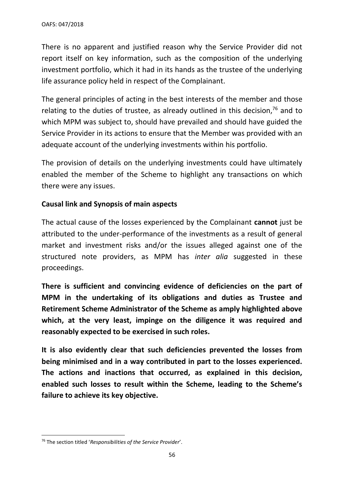There is no apparent and justified reason why the Service Provider did not report itself on key information, such as the composition of the underlying investment portfolio, which it had in its hands as the trustee of the underlying life assurance policy held in respect of the Complainant.

The general principles of acting in the best interests of the member and those relating to the duties of trustee, as already outlined in this decision, $76$  and to which MPM was subject to, should have prevailed and should have guided the Service Provider in its actions to ensure that the Member was provided with an adequate account of the underlying investments within his portfolio.

The provision of details on the underlying investments could have ultimately enabled the member of the Scheme to highlight any transactions on which there were any issues.

## **Causal link and Synopsis of main aspects**

The actual cause of the losses experienced by the Complainant **cannot** just be attributed to the under-performance of the investments as a result of general market and investment risks and/or the issues alleged against one of the structured note providers, as MPM has *inter alia* suggested in these proceedings.

**There is sufficient and convincing evidence of deficiencies on the part of MPM in the undertaking of its obligations and duties as Trustee and Retirement Scheme Administrator of the Scheme as amply highlighted above which, at the very least, impinge on the diligence it was required and reasonably expected to be exercised in such roles.**

**It is also evidently clear that such deficiencies prevented the losses from being minimised and in a way contributed in part to the losses experienced. The actions and inactions that occurred, as explained in this decision, enabled such losses to result within the Scheme, leading to the Scheme's failure to achieve its key objective.**

<sup>76</sup> The section titled '*Responsibilities of the Service Provider*'.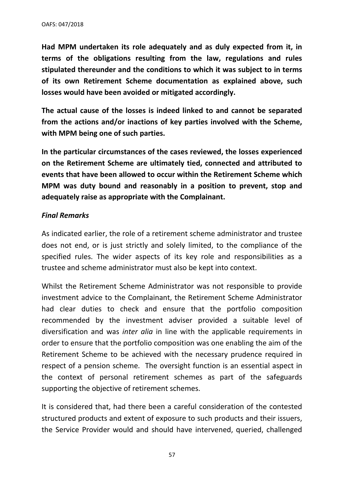**Had MPM undertaken its role adequately and as duly expected from it, in terms of the obligations resulting from the law, regulations and rules stipulated thereunder and the conditions to which it was subject to in terms of its own Retirement Scheme documentation as explained above, such losses would have been avoided or mitigated accordingly.**

**The actual cause of the losses is indeed linked to and cannot be separated from the actions and/or inactions of key parties involved with the Scheme, with MPM being one of such parties.**

**In the particular circumstances of the cases reviewed, the losses experienced on the Retirement Scheme are ultimately tied, connected and attributed to events that have been allowed to occur within the Retirement Scheme which MPM was duty bound and reasonably in a position to prevent, stop and adequately raise as appropriate with the Complainant.**

#### *Final Remarks*

As indicated earlier, the role of a retirement scheme administrator and trustee does not end, or is just strictly and solely limited, to the compliance of the specified rules. The wider aspects of its key role and responsibilities as a trustee and scheme administrator must also be kept into context.

Whilst the Retirement Scheme Administrator was not responsible to provide investment advice to the Complainant, the Retirement Scheme Administrator had clear duties to check and ensure that the portfolio composition recommended by the investment adviser provided a suitable level of diversification and was *inter alia* in line with the applicable requirements in order to ensure that the portfolio composition was one enabling the aim of the Retirement Scheme to be achieved with the necessary prudence required in respect of a pension scheme. The oversight function is an essential aspect in the context of personal retirement schemes as part of the safeguards supporting the objective of retirement schemes.

It is considered that, had there been a careful consideration of the contested structured products and extent of exposure to such products and their issuers, the Service Provider would and should have intervened, queried, challenged

57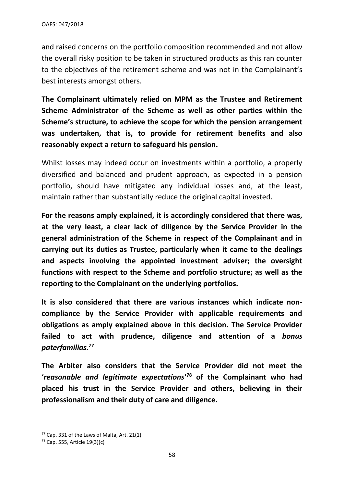and raised concerns on the portfolio composition recommended and not allow the overall risky position to be taken in structured products as this ran counter to the objectives of the retirement scheme and was not in the Complainant's best interests amongst others.

**The Complainant ultimately relied on MPM as the Trustee and Retirement Scheme Administrator of the Scheme as well as other parties within the Scheme's structure, to achieve the scope for which the pension arrangement was undertaken, that is, to provide for retirement benefits and also reasonably expect a return to safeguard his pension.**

Whilst losses may indeed occur on investments within a portfolio, a properly diversified and balanced and prudent approach, as expected in a pension portfolio, should have mitigated any individual losses and, at the least, maintain rather than substantially reduce the original capital invested.

**For the reasons amply explained, it is accordingly considered that there was, at the very least, a clear lack of diligence by the Service Provider in the general administration of the Scheme in respect of the Complainant and in carrying out its duties as Trustee, particularly when it came to the dealings and aspects involving the appointed investment adviser; the oversight functions with respect to the Scheme and portfolio structure; as well as the reporting to the Complainant on the underlying portfolios.** 

**It is also considered that there are various instances which indicate noncompliance by the Service Provider with applicable requirements and obligations as amply explained above in this decision. The Service Provider failed to act with prudence, diligence and attention of a** *bonus paterfamilias.<sup>77</sup>*

**The Arbiter also considers that the Service Provider did not meet the '***reasonable and legitimate expectations***' <sup>78</sup> of the Complainant who had placed his trust in the Service Provider and others, believing in their professionalism and their duty of care and diligence.** 

 $77$  Cap. 331 of the Laws of Malta, Art. 21(1)

<sup>78</sup> Cap. 555, Article 19(3)(c)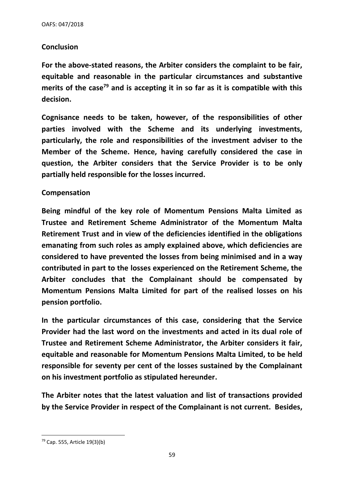#### **Conclusion**

**For the above-stated reasons, the Arbiter considers the complaint to be fair, equitable and reasonable in the particular circumstances and substantive merits of the case<sup>79</sup> and is accepting it in so far as it is compatible with this decision.**

**Cognisance needs to be taken, however, of the responsibilities of other parties involved with the Scheme and its underlying investments, particularly, the role and responsibilities of the investment adviser to the Member of the Scheme. Hence, having carefully considered the case in question, the Arbiter considers that the Service Provider is to be only partially held responsible for the losses incurred.** 

#### **Compensation**

**Being mindful of the key role of Momentum Pensions Malta Limited as Trustee and Retirement Scheme Administrator of the Momentum Malta Retirement Trust and in view of the deficiencies identified in the obligations emanating from such roles as amply explained above, which deficiencies are considered to have prevented the losses from being minimised and in a way contributed in part to the losses experienced on the Retirement Scheme, the Arbiter concludes that the Complainant should be compensated by Momentum Pensions Malta Limited for part of the realised losses on his pension portfolio.** 

**In the particular circumstances of this case, considering that the Service Provider had the last word on the investments and acted in its dual role of Trustee and Retirement Scheme Administrator, the Arbiter considers it fair, equitable and reasonable for Momentum Pensions Malta Limited, to be held responsible for seventy per cent of the losses sustained by the Complainant on his investment portfolio as stipulated hereunder.**

**The Arbiter notes that the latest valuation and list of transactions provided by the Service Provider in respect of the Complainant is not current. Besides,** 

<sup>79</sup> Cap. 555, Article 19(3)(b)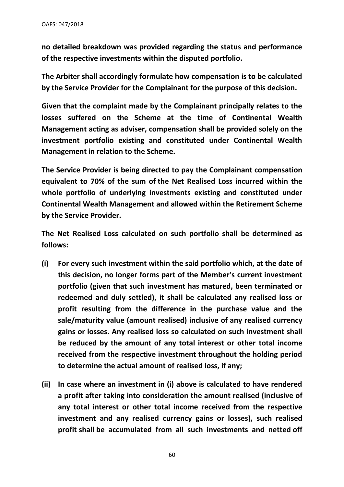**no detailed breakdown was provided regarding the status and performance of the respective investments within the disputed portfolio.**

**The Arbiter shall accordingly formulate how compensation is to be calculated by the Service Provider for the Complainant for the purpose of this decision.** 

**Given that the complaint made by the Complainant principally relates to the losses suffered on the Scheme at the time of Continental Wealth Management acting as adviser, compensation shall be provided solely on the investment portfolio existing and constituted under Continental Wealth Management in relation to the Scheme.** 

**The Service Provider is being directed to pay the Complainant compensation equivalent to 70% of the sum of the Net Realised Loss incurred within the whole portfolio of underlying investments existing and constituted under Continental Wealth Management and allowed within the Retirement Scheme by the Service Provider.** 

**The Net Realised Loss calculated on such portfolio shall be determined as follows:**

- **(i) For every such investment within the said portfolio which, at the date of this decision, no longer forms part of the Member's current investment portfolio (given that such investment has matured, been terminated or redeemed and duly settled), it shall be calculated any realised loss or profit resulting from the difference in the purchase value and the sale/maturity value (amount realised) inclusive of any realised currency gains or losses. Any realised loss so calculated on such investment shall be reduced by the amount of any total interest or other total income received from the respective investment throughout the holding period to determine the actual amount of realised loss, if any;**
- **(ii) In case where an investment in (i) above is calculated to have rendered a profit after taking into consideration the amount realised (inclusive of any total interest or other total income received from the respective investment and any realised currency gains or losses), such realised profit shall be accumulated from all such investments and netted off**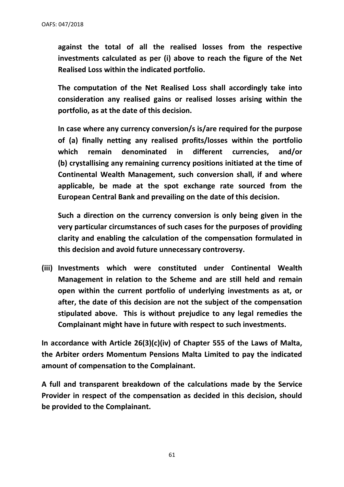**against the total of all the realised losses from the respective investments calculated as per (i) above to reach the figure of the Net Realised Loss within the indicated portfolio.**

**The computation of the Net Realised Loss shall accordingly take into consideration any realised gains or realised losses arising within the portfolio, as at the date of this decision.**

**In case where any currency conversion/s is/are required for the purpose of (a) finally netting any realised profits/losses within the portfolio which remain denominated in different currencies, and/or (b) crystallising any remaining currency positions initiated at the time of Continental Wealth Management, such conversion shall, if and where applicable, be made at the spot exchange rate sourced from the European Central Bank and prevailing on the date of this decision.** 

**Such a direction on the currency conversion is only being given in the very particular circumstances of such cases for the purposes of providing clarity and enabling the calculation of the compensation formulated in this decision and avoid future unnecessary controversy.** 

**(iii) Investments which were constituted under Continental Wealth Management in relation to the Scheme and are still held and remain open within the current portfolio of underlying investments as at, or after, the date of this decision are not the subject of the compensation stipulated above. This is without prejudice to any legal remedies the Complainant might have in future with respect to such investments.** 

**In accordance with Article 26(3)(c)(iv) of Chapter 555 of the Laws of Malta, the Arbiter orders Momentum Pensions Malta Limited to pay the indicated amount of compensation to the Complainant.** 

**A full and transparent breakdown of the calculations made by the Service Provider in respect of the compensation as decided in this decision, should be provided to the Complainant.**